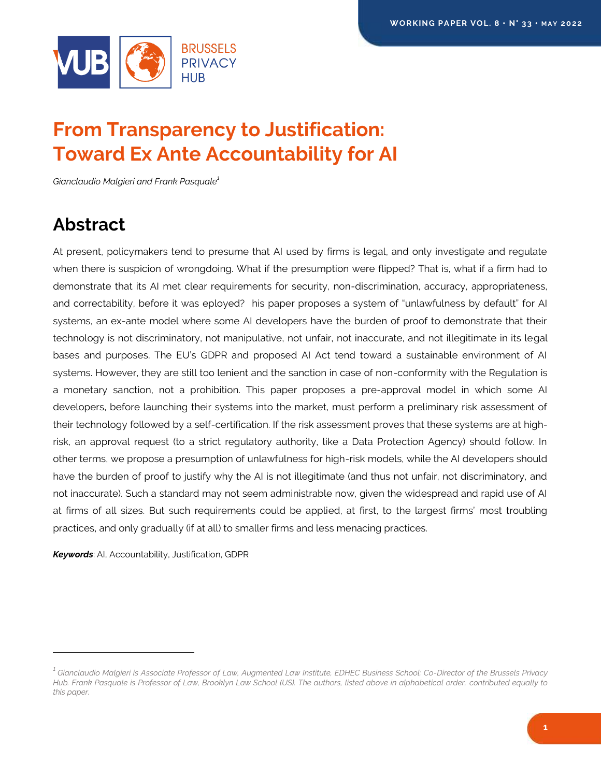

# **From Transparency to Justification: Toward Ex Ante Accountability for AI**

*Gianclaudio Malgieri and Frank Pasquale<sup>1</sup>*

## <span id="page-0-0"></span>**Abstract**

At present, policymakers tend to presume that AI used by firms is legal, and only investigate and regulate when there is suspicion of wrongdoing. What if the presumption were flipped? That is, what if a firm had to demonstrate that its AI met clear requirements for security, non-discrimination, accuracy, appropriateness, and correctability, before it was eployed? his paper proposes a system of "unlawfulness by default" for AI systems, an ex-ante model where some AI developers have the burden of proof to demonstrate that their technology is not discriminatory, not manipulative, not unfair, not inaccurate, and not illegitimate in its legal bases and purposes. The EU's GDPR and proposed AI Act tend toward a sustainable environment of AI systems. However, they are still too lenient and the sanction in case of non-conformity with the Regulation is a monetary sanction, not a prohibition. This paper proposes a pre-approval model in which some AI developers, before launching their systems into the market, must perform a preliminary risk assessment of their technology followed by a self-certification. If the risk assessment proves that these systems are at highrisk, an approval request (to a strict regulatory authority, like a Data Protection Agency) should follow. In other terms, we propose a presumption of unlawfulness for high-risk models, while the AI developers should have the burden of proof to justify why the AI is not illegitimate (and thus not unfair, not discriminatory, and not inaccurate). Such a standard may not seem administrable now, given the widespread and rapid use of AI at firms of all sizes. But such requirements could be applied, at first, to the largest firms' most troubling practices, and only gradually (if at all) to smaller firms and less menacing practices.

*Keywords*: AI, Accountability, Justification, GDPR

 $\overline{a}$ 

*<sup>1</sup> Gianclaudio Malgieri is Associate Professor of Law, Augmented Law Institute, EDHEC Business School; Co-Director of the Brussels Privacy Hub. Frank Pasquale is Professor of Law, Brooklyn Law School (US). The authors, listed above in alphabetical order, contributed equally to this paper.*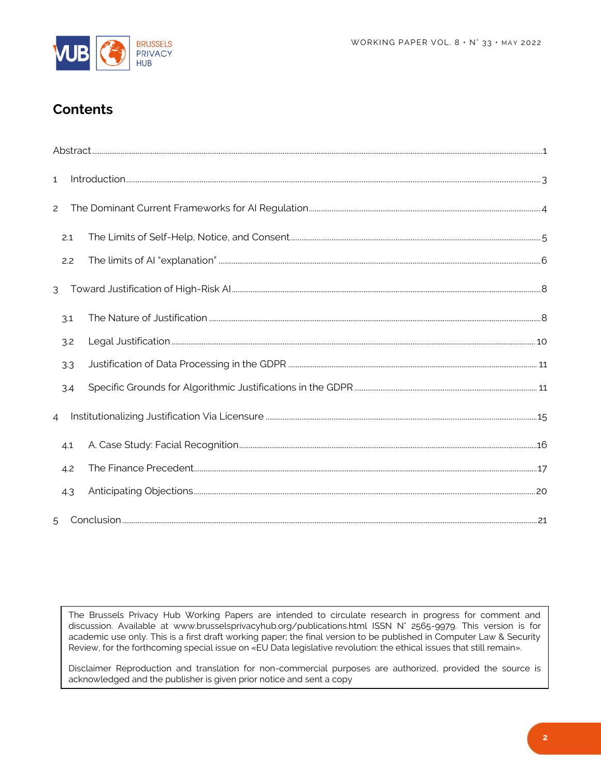

## **Contents**

| $\mathbf{1}$   |     |  |  |
|----------------|-----|--|--|
| $\overline{c}$ |     |  |  |
|                | 2.1 |  |  |
|                | 2.2 |  |  |
| 3              |     |  |  |
|                | 3.1 |  |  |
|                | 3.2 |  |  |
|                | 3.3 |  |  |
|                | 3.4 |  |  |
| $\overline{4}$ |     |  |  |
|                | 4.1 |  |  |
|                | 4.2 |  |  |
|                | 4.3 |  |  |
| 5              |     |  |  |

The Brussels Privacy Hub Working Papers are intended to circulate research in progress for comment and discussion. Available at www.brusselsprivacyhub.org/publications.html ISSN N° 2565-9979. This version is for academic use only. This is a first draft working paper; the final version to be published in Computer Law & Security Review, for the forthcoming special issue on «EU Data legislative revolution: the ethical issues that still remain».

Disclaimer Reproduction and translation for non-commercial purposes are authorized, provided the source is acknowledged and the publisher is given prior notice and sent a copy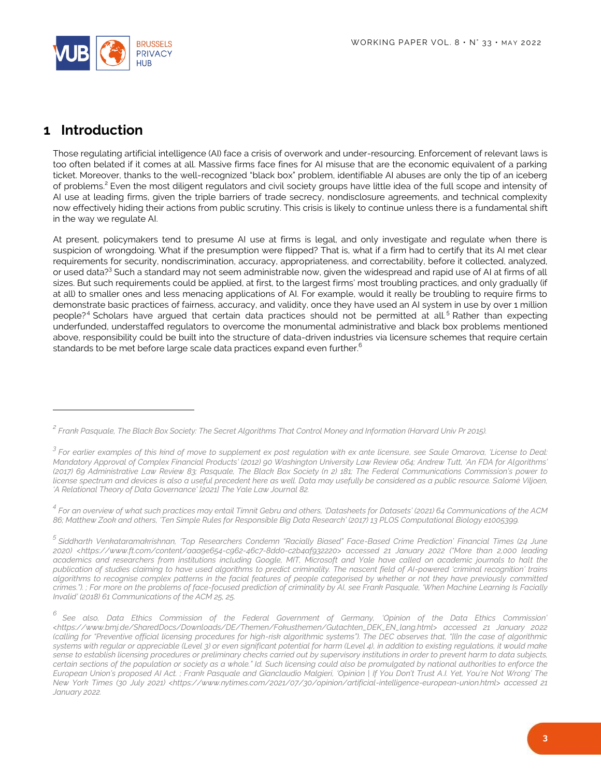

#### <span id="page-2-0"></span>**1 Introduction**

 $\overline{a}$ 

Those regulating artificial intelligence (AI) face a crisis of overwork and under-resourcing. Enforcement of relevant laws is too often belated if it comes at all. Massive firms face fines for AI misuse that are the economic equivalent of a parking ticket. Moreover, thanks to the well-recognized "black box" problem, identifiable AI abuses are only the tip of an iceberg of problems.<sup>2</sup> Even the most diligent regulators and civil society groups have little idea of the full scope and intensity of AI use at leading firms, given the triple barriers of trade secrecy, nondisclosure agreements, and technical complexity now effectively hiding their actions from public scrutiny. This crisis is likely to continue unless there is a fundamental shift in the way we regulate AI.

At present, policymakers tend to presume AI use at firms is legal, and only investigate and regulate when there is suspicion of wrongdoing. What if the presumption were flipped? That is, what if a firm had to certify that its AI met clear requirements for security, nondiscrimination, accuracy, appropriateness, and correctability, before it collected, analyzed, or used data?<sup>3</sup> Such a standard may not seem administrable now, given the widespread and rapid use of AI at firms of all sizes. But such requirements could be applied, at first, to the largest firms' most troubling practices, and only gradually (if at all) to smaller ones and less menacing applications of AI. For example, would it really be troubling to require firms to demonstrate basic practices of fairness, accuracy, and validity, once they have used an AI system in use by over 1 million people?<sup>4</sup> Scholars have argued that certain data practices should not be permitted at all.<sup>5</sup> Rather than expecting underfunded, understaffed regulators to overcome the monumental administrative and black box problems mentioned above, responsibility could be built into the structure of data-driven industries via licensure schemes that require certain standards to be met before large scale data practices expand even further.<sup>6</sup>

*4 For an overview of what such practices may entail Timnit Gebru and others, 'Datasheets for Datasets' (2021) 64 Communications of the ACM 86; Matthew Zook and others, 'Ten Simple Rules for Responsible Big Data Research' (2017) 13 PLOS Computational Biology e1005399.*

*<sup>2</sup> Frank Pasquale, The Black Box Society: The Secret Algorithms That Control Money and Information (Harvard Univ Pr 2015).*

*<sup>3</sup> For earlier examples of this kind of move to supplement ex post regulation with ex ante licensure, see Saule Omarova, 'License to Deal: Mandatory Approval of Complex Financial Products' (2012) 90 Washington University Law Review 064; Andrew Tutt, 'An FDA for Algorithms' (2017) 69 Administrative Law Review 83; Pasquale, The Black Box Society (n 2) 181; The Federal Communications Commission's power to license spectrum and devices is also a useful precedent here as well. Data may usefully be considered as a public resource. Salomé Viljoen, 'A Relational Theory of Data Governance' [2021] The Yale Law Journal 82.*

*<sup>5</sup> Siddharth Venkataramakrishnan, 'Top Researchers Condemn "Racially Biased" Face-Based Crime Prediction' Financial Times (24 June 2020) <https://www.ft.com/content/aaa9e654-c962-46c7-8dd0-c2b4af932220> accessed 21 January 2022 ("More than 2,000 leading academics and researchers from institutions including Google, MIT, Microsoft and Yale have called on academic journals to halt the publication of studies claiming to have used algorithms to predict criminality. The nascent field of AI-powered 'criminal recognition' trains algorithms to recognise complex patterns in the facial features of people categorised by whether or not they have previously committed crimes."). ; For more on the problems of face-focused prediction of criminality by AI, see Frank Pasquale, 'When Machine Learning Is Facially Invalid' (2018) 61 Communications of the ACM 25, 25.*

*<sup>6</sup> See also, Data Ethics Commission of the Federal Government of Germany, 'Opinion of the Data Ethics Commission' <https://www.bmj.de/SharedDocs/Downloads/DE/Themen/Fokusthemen/Gutachten\_DEK\_EN\_lang.html> accessed 21 January 2022 (calling for "Preventive official licensing procedures for high-risk algorithmic systems"). The DEC observes that, "[I]n the case of algorithmic systems with regular or appreciable (Level 3) or even significant potential for harm (Level 4), in addition to existing regulations, it would make sense to establish licensing procedures or preliminary checks carried out by supervisory institutions in order to prevent harm to data subjects, certain sections of the population or society as a whole." Id. Such licensing could also be promulgated by national authorities to enforce the European Union's proposed AI Act. ; Frank Pasquale and Gianclaudio Malgieri, 'Opinion | If You Don't Trust A.I. Yet, You're Not Wrong' The New York Times (30 July 2021) <https://www.nytimes.com/2021/07/30/opinion/artificial-intelligence-european-union.html> accessed 21 January 2022.*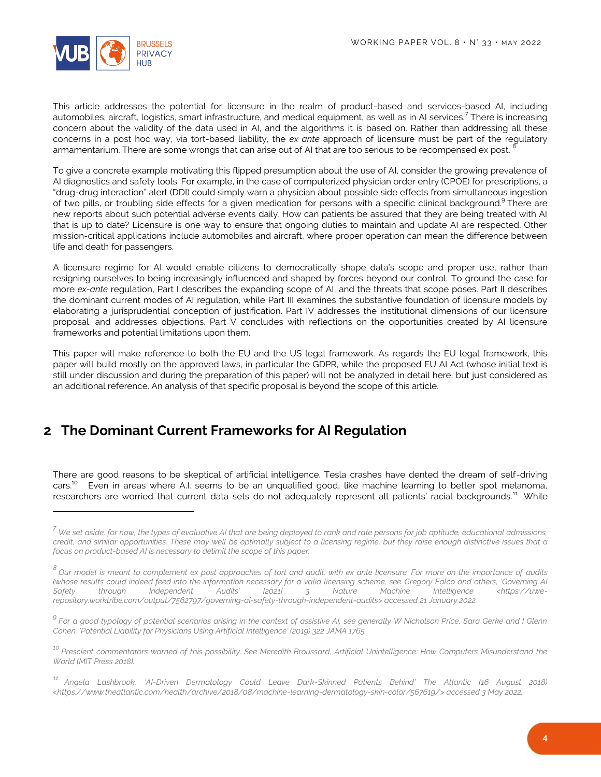

l

This article addresses the potential for licensure in the realm of product-based and services-based AI, including automobiles, aircraft, logistics, smart infrastructure, and medical equipment, as well as in AI services.<sup>7</sup> There is increasing concern about the validity of the data used in AI, and the algorithms it is based on. Rather than addressing all these concerns in a post hoc way, via tort-based liability, the *ex ante* approach of licensure must be part of the regulatory armamentarium. There are some wrongs that can arise out of AI that are too serious to be recompensed ex post. <sup>8</sup>

To give a concrete example motivating this flipped presumption about the use of AI, consider the growing prevalence of AI diagnostics and safety tools. For example, in the case of computerized physician order entry (CPOE) for prescriptions, a "drug-drug interaction" alert (DDI) could simply warn a physician about possible side effects from simultaneous ingestion of two pills, or troubling side effects for a given medication for persons with a specific clinical background.<sup>9</sup> There are new reports about such potential adverse events daily. How can patients be assured that they are being treated with AI that is up to date? Licensure is one way to ensure that ongoing duties to maintain and update AI are respected. Other mission-critical applications include automobiles and aircraft, where proper operation can mean the difference between life and death for passengers.

A licensure regime for AI would enable citizens to democratically shape data's scope and proper use, rather than resigning ourselves to being increasingly influenced and shaped by forces beyond our control. To ground the case for more *ex-ante* regulation, Part I describes the expanding scope of AI, and the threats that scope poses. Part II describes the dominant current modes of AI regulation, while Part III examines the substantive foundation of licensure models by elaborating a jurisprudential conception of justification. Part IV addresses the institutional dimensions of our licensure proposal, and addresses objections. Part V concludes with reflections on the opportunities created by AI licensure frameworks and potential limitations upon them.

This paper will make reference to both the EU and the US legal framework. As regards the EU legal framework, this paper will build mostly on the approved laws, in particular the GDPR, while the proposed EU AI Act (whose initial text is still under discussion and during the preparation of this paper) will not be analyzed in detail here, but just considered as an additional reference. An analysis of that specific proposal is beyond the scope of this article.

#### <span id="page-3-0"></span>**2 The Dominant Current Frameworks for AI Regulation**

There are good reasons to be skeptical of artificial intelligence. Tesla crashes have dented the dream of self-driving cars.<sup>10</sup> Even in areas where A.I. seems to be an unqualified good, like machine learning to better spot melanoma, researchers are worried that current data sets do not adequately represent all patients' racial backgrounds.<sup>11</sup> While

*<sup>7</sup> We set aside, for now, the types of evaluative AI that are being deployed to rank and rate persons for job aptitude, educational admissions, credit, and similar opportunities. These may well be optimally subject to a licensing regime, but they raise enough distinctive issues that a focus on product-based AI is necessary to delimit the scope of this paper.*

<sup>&</sup>lt;sup>8</sup> Our model is meant to complement ex post approaches of tort and audit, with ex ante licensure. For more on the importance of audits *(whose results could indeed feed into the information necessary for a valid licensing scheme, see Gregory Falco and others, 'Governing AI Safety through Independent Audits' [2021] 3 Nature Machine Intelligence <https://uwerepository.worktribe.com/output/7562797/governing-ai-safety-through-independent-audits> accessed 21 January 2022.*

<sup>&</sup>lt;sup>9</sup> For a good typology of potential scenarios arising in the context of assistive AI, see generally W Nicholson Price, Sara Gerke and I Glenn *Cohen, 'Potential Liability for Physicians Using Artificial Intelligence' (2019) 322 JAMA 1765.*

*<sup>10</sup> Prescient commentators warned of this possibility. See Meredith Broussard, Artificial Unintelligence: How Computers Misunderstand the World (MIT Press 2018).*

*<sup>11</sup> Angela Lashbrook, 'AI-Driven Dermatology Could Leave Dark-Skinned Patients Behind' The Atlantic (16 August 2018) <https://www.theatlantic.com/health/archive/2018/08/machine-learning-dermatology-skin-color/567619/> accessed 3 May 2022.*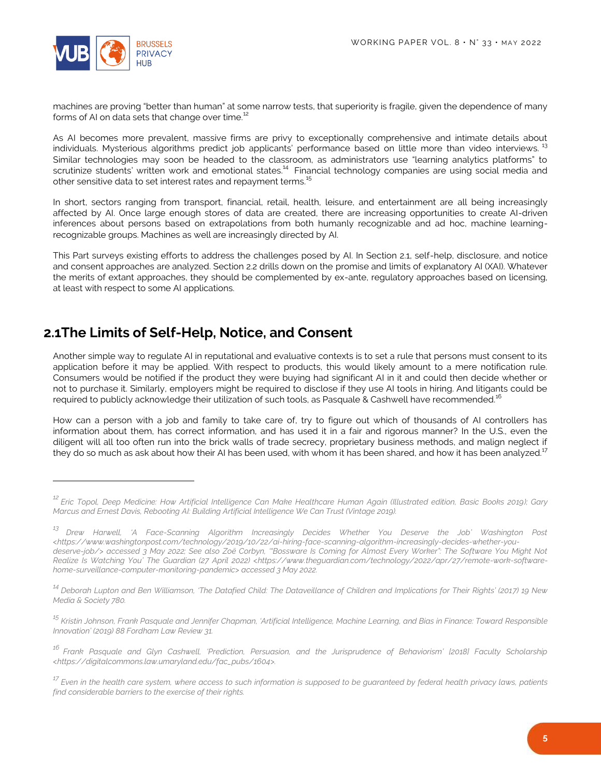

l

machines are proving "better than human" at some narrow tests, that superiority is fragile, given the dependence of many forms of AI on data sets that change over time.<sup>12</sup>

As AI becomes more prevalent, massive firms are privy to exceptionally comprehensive and intimate details about individuals. Mysterious algorithms predict job applicants' performance based on little more than video interviews.<sup>13</sup> Similar technologies may soon be headed to the classroom, as administrators use "learning analytics platforms" to scrutinize students' written work and emotional states.<sup>14</sup> Financial technology companies are using social media and other sensitive data to set interest rates and repayment terms.<sup>15</sup>

In short, sectors ranging from transport, financial, retail, health, leisure, and entertainment are all being increasingly affected by AI. Once large enough stores of data are created, there are increasing opportunities to create AI-driven inferences about persons based on extrapolations from both humanly recognizable and ad hoc, machine learningrecognizable groups. Machines as well are increasingly directed by AI.

This Part surveys existing efforts to address the challenges posed by AI. In Section 2.1, self-help, disclosure, and notice and consent approaches are analyzed. Section 2.2 drills down on the promise and limits of explanatory AI (XAI). Whatever the merits of extant approaches, they should be complemented by ex-ante, regulatory approaches based on licensing, at least with respect to some AI applications.

#### <span id="page-4-0"></span>**2.1The Limits of Self-Help, Notice, and Consent**

Another simple way to regulate AI in reputational and evaluative contexts is to set a rule that persons must consent to its application before it may be applied. With respect to products, this would likely amount to a mere notification rule. Consumers would be notified if the product they were buying had significant AI in it and could then decide whether or not to purchase it. Similarly, employers might be required to disclose if they use AI tools in hiring. And litigants could be required to publicly acknowledge their utilization of such tools, as Pasquale & Cashwell have recommended.<sup>16</sup>

How can a person with a job and family to take care of, try to figure out which of thousands of AI controllers has information about them, has correct information, and has used it in a fair and rigorous manner? In the U.S., even the diligent will all too often run into the brick walls of trade secrecy, proprietary business methods, and malign neglect if they do so much as ask about how their AI has been used, with whom it has been shared, and how it has been analyzed.<sup>17</sup>

*<sup>12</sup> Eric Topol, Deep Medicine: How Artificial Intelligence Can Make Healthcare Human Again (Illustrated edition, Basic Books 2019); Gary Marcus and Ernest Davis, Rebooting AI: Building Artificial Intelligence We Can Trust (Vintage 2019).*

*<sup>13</sup> Drew Harwell, 'A Face-Scanning Algorithm Increasingly Decides Whether You Deserve the Job' Washington Post <https://www.washingtonpost.com/technology/2019/10/22/ai-hiring-face-scanning-algorithm-increasingly-decides-whether-youdeserve-job/> accessed 3 May 2022; See also Zoë Corbyn, '"Bossware Is Coming for Almost Every Worker": The Software You Might Not Realize Is Watching You' The Guardian (27 April 2022) <https://www.theguardian.com/technology/2022/apr/27/remote-work-softwarehome-surveillance-computer-monitoring-pandemic> accessed 3 May 2022.*

*<sup>14</sup> Deborah Lupton and Ben Williamson, 'The Datafied Child: The Dataveillance of Children and Implications for Their Rights' (2017) 19 New Media & Society 780.*

*<sup>15</sup> Kristin Johnson, Frank Pasquale and Jennifer Chapman, 'Artificial Intelligence, Machine Learning, and Bias in Finance: Toward Responsible Innovation' (2019) 88 Fordham Law Review 31.*

*<sup>16</sup> Frank Pasquale and Glyn Cashwell, 'Prediction, Persuasion, and the Jurisprudence of Behaviorism' [2018] Faculty Scholarship <https://digitalcommons.law.umaryland.edu/fac\_pubs/1604>.*

*<sup>17</sup> Even in the health care system, where access to such information is supposed to be guaranteed by federal health privacy laws, patients find considerable barriers to the exercise of their rights.*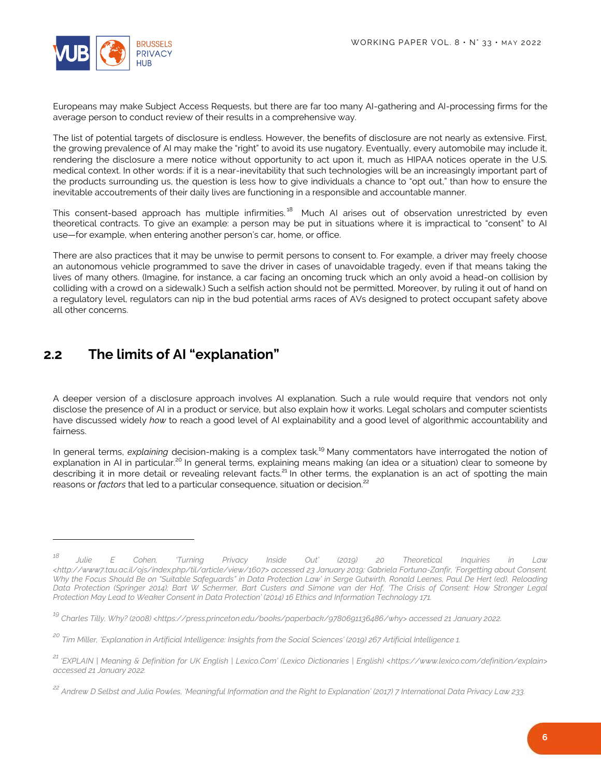

Europeans may make Subject Access Requests, but there are far too many AI-gathering and AI-processing firms for the average person to conduct review of their results in a comprehensive way.

The list of potential targets of disclosure is endless. However, the benefits of disclosure are not nearly as extensive. First, the growing prevalence of AI may make the "right" to avoid its use nugatory. Eventually, every automobile may include it, rendering the disclosure a mere notice without opportunity to act upon it, much as HIPAA notices operate in the U.S. medical context. In other words: if it is a near-inevitability that such technologies will be an increasingly important part of the products surrounding us, the question is less how to give individuals a chance to "opt out," than how to ensure the inevitable accoutrements of their daily lives are functioning in a responsible and accountable manner.

This consent-based approach has multiple infirmities.<sup>18</sup> Much AI arises out of observation unrestricted by even theoretical contracts. To give an example: a person may be put in situations where it is impractical to "consent" to AI use—for example, when entering another person's car, home, or office.

There are also practices that it may be unwise to permit persons to consent to. For example, a driver may freely choose an autonomous vehicle programmed to save the driver in cases of unavoidable tragedy, even if that means taking the lives of many others. (Imagine, for instance, a car facing an oncoming truck which an only avoid a head-on collision by colliding with a crowd on a sidewalk.) Such a selfish action should not be permitted. Moreover, by ruling it out of hand on a regulatory level, regulators can nip in the bud potential arms races of AVs designed to protect occupant safety above all other concerns.

## <span id="page-5-0"></span>**2.2 The limits of AI "explanation"**

 $\overline{a}$ 

A deeper version of a disclosure approach involves AI explanation. Such a rule would require that vendors not only disclose the presence of AI in a product or service, but also explain how it works. Legal scholars and computer scientists have discussed widely *how* to reach a good level of AI explainability and a good level of algorithmic accountability and fairness.

In general terms, *explaining* decision-making is a complex task.<sup>19</sup> Many commentators have interrogated the notion of explanation in AI in particular.<sup>20</sup> In general terms, explaining means making (an idea or a situation) clear to someone by describing it in more detail or revealing relevant facts.<sup>21</sup> In other terms, the explanation is an act of spotting the main reasons or *factors* that led to a particular consequence, situation or decision.<sup>22</sup>

*<sup>18</sup> Julie E Cohen, 'Turning Privacy Inside Out' (2019) 20 Theoretical Inquiries in Law <http://www7.tau.ac.il/ojs/index.php/til/article/view/1607> accessed 23 January 2019; Gabriela Fortuna-Zanfir, 'Forgetting about Consent. Why the Focus Should Be on "Suitable Safeguards" in Data Protection Law' in Serge Gutwirth, Ronald Leenes, Paul De Hert (ed), Reloading Data Protection (Springer 2014); Bart W Schermer, Bart Custers and Simone van der Hof, 'The Crisis of Consent: How Stronger Legal Protection May Lead to Weaker Consent in Data Protection' (2014) 16 Ethics and Information Technology 171.*

*<sup>19</sup> Charles Tilly, Why? (2008) <https://press.princeton.edu/books/paperback/9780691136486/why> accessed 21 January 2022.*

*<sup>20</sup> Tim Miller, 'Explanation in Artificial Intelligence: Insights from the Social Sciences' (2019) 267 Artificial Intelligence 1.*

*<sup>21</sup> 'EXPLAIN | Meaning & Definition for UK English | Lexico.Com' (Lexico Dictionaries | English) <https://www.lexico.com/definition/explain> accessed 21 January 2022.*

*<sup>22</sup> Andrew D Selbst and Julia Powles, 'Meaningful Information and the Right to Explanation' (2017) 7 International Data Privacy Law 233.*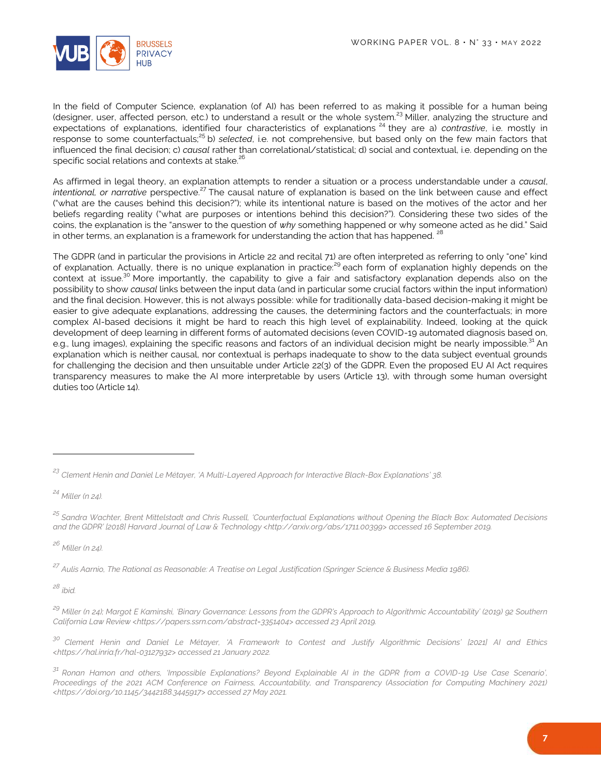

In the field of Computer Science, explanation (of AI) has been referred to as making it possible for a human being (designer, user, affected person, etc.) to understand a result or the whole system.<sup>23</sup> Miller, analyzing the structure and expectations of explanations, identified four characteristics of explanations <sup>24</sup> they are a) *contrastive*, i.e. mostly in response to some counterfactuals;<sup>25</sup> b) *selected*, i.e. not comprehensive, but based only on the few main factors that influenced the final decision; c) *causal* rather than correlational/statistical; d) social and contextual, i.e. depending on the specific social relations and contexts at stake.<sup>26</sup>

As affirmed in legal theory, an explanation attempts to render a situation or a process understandable under a *causal*, *intentional, or narrative* perspective.<sup>27</sup> The causal nature of explanation is based on the link between cause and effect ("what are the causes behind this decision?"); while its intentional nature is based on the motives of the actor and her beliefs regarding reality ("what are purposes or intentions behind this decision?"). Considering these two sides of the coins, the explanation is the "answer to the question of *why* something happened or why someone acted as he did." Said in other terms, an explanation is a framework for understanding the action that has happened. <sup>28</sup>

The GDPR (and in particular the provisions in Article 22 and recital 71) are often interpreted as referring to only "one" kind of explanation. Actually, there is no unique explanation in practice:<sup>29</sup> each form of explanation highly depends on the context at issue.<sup>30</sup> More importantly, the capability to give a fair and satisfactory explanation depends also on the possibility to show *causal* links between the input data (and in particular some crucial factors within the input information) and the final decision. However, this is not always possible: while for traditionally data-based decision-making it might be easier to give adequate explanations, addressing the causes, the determining factors and the counterfactuals; in more complex AI-based decisions it might be hard to reach this high level of explainability. Indeed, looking at the quick development of deep learning in different forms of automated decisions (even COVID-19 automated diagnosis based on, e.g., lung images), explaining the specific reasons and factors of an individual decision might be nearly impossible.<sup>31</sup> An explanation which is neither causal, nor contextual is perhaps inadequate to show to the data subject eventual grounds for challenging the decision and then unsuitable under Article 22(3) of the GDPR. Even the proposed EU AI Act requires transparency measures to make the AI more interpretable by users (Article 13), with through some human oversight duties too (Article 14).

*<sup>24</sup> Miller (n 24).*

<span id="page-6-0"></span> $\overline{a}$ 

*<sup>25</sup> Sandra Wachter, Brent Mittelstadt and Chris Russell, 'Counterfactual Explanations without Opening the Black Box: Automated Decisions and the GDPR' [2018] Harvard Journal of Law & Technology <http://arxiv.org/abs/1711.00399> accessed 16 September 2019.*

*<sup>26</sup> Miller (n 24).*

*<sup>27</sup> Aulis Aarnio, The Rational as Reasonable: A Treatise on Legal Justification (Springer Science & Business Media 1986).*

*<sup>28</sup> ibid.*

*<sup>23</sup> Clement Henin and Daniel Le Métayer, 'A Multi-Layered Approach for Interactive Black-Box Explanations' 38.*

*<sup>29</sup> Miller (n 24); Margot E Kaminski, 'Binary Governance: Lessons from the GDPR's Approach to Algorithmic Accountability' (2019) 92 Southern California Law Review <https://papers.ssrn.com/abstract=3351404> accessed 23 April 2019.*

*<sup>30</sup> Clement Henin and Daniel Le Métayer, 'A Framework to Contest and Justify Algorithmic Decisions' [2021] AI and Ethics <https://hal.inria.fr/hal-03127932> accessed 21 January 2022.*

*<sup>31</sup> Ronan Hamon and others, 'Impossible Explanations? Beyond Explainable AI in the GDPR from a COVID-19 Use Case Scenario', Proceedings of the 2021 ACM Conference on Fairness, Accountability, and Transparency (Association for Computing Machinery 2021) <https://doi.org/10.1145/3442188.3445917> accessed 27 May 2021.*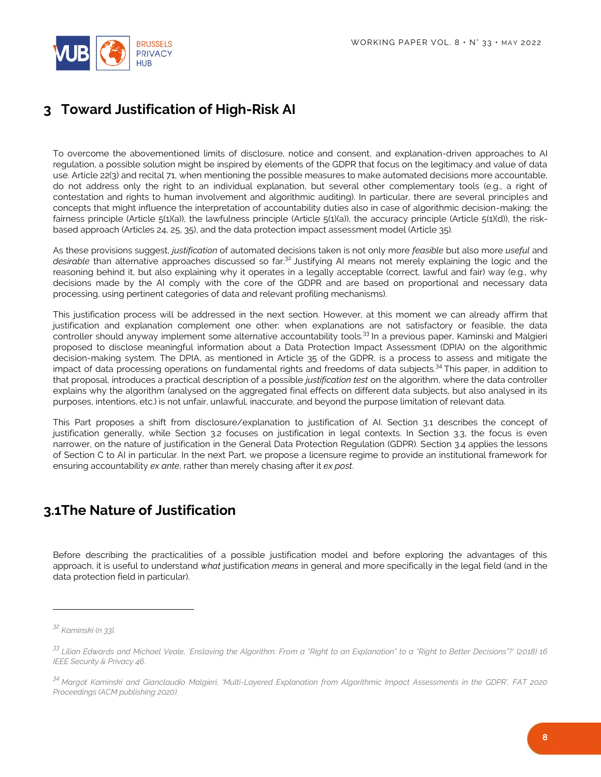

## **3 Toward Justification of High-Risk AI**

To overcome the abovementioned limits of disclosure, notice and consent, and explanation-driven approaches to AI regulation, a possible solution might be inspired by elements of the GDPR that focus on the legitimacy and value of data use. Article 22(3) and recital 71, when mentioning the possible measures to make automated decisions more accountable, do not address only the right to an individual explanation, but several other complementary tools (e.g., a right of contestation and rights to human involvement and algorithmic auditing). In particular, there are several principles and concepts that might influence the interpretation of accountability duties also in case of algorithmic decision-making: the fairness principle (Article 5(1)(a)), the lawfulness principle (Article 5(1)(a)), the accuracy principle (Article 5(1)(d)), the riskbased approach (Articles 24, 25, 35), and the data protection impact assessment model (Article 35).

As these provisions suggest, *justification* of automated decisions taken is not only more *feasible* but also more *useful* and *desirable* than alternative approaches discussed so far.<sup>32</sup> Justifying AI means not merely explaining the logic and the reasoning behind it, but also explaining why it operates in a legally acceptable (correct, lawful and fair) way (e.g., why decisions made by the AI comply with the core of the GDPR and are based on proportional and necessary data processing, using pertinent categories of data and relevant profiling mechanisms).

This justification process will be addressed in the next section. However, at this moment we can already affirm that justification and explanation complement one other: when explanations are not satisfactory or feasible, the data controller should anyway implement some alternative accountability tools.<sup>33</sup> In a previous paper, Kaminski and Malgieri proposed to disclose meaningful information about a Data Protection Impact Assessment (DPIA) on the algorithmic decision-making system. The DPIA, as mentioned in Article 35 of the GDPR, is a process to assess and mitigate the impact of data processing operations on fundamental rights and freedoms of data subjects.<sup>34</sup> This paper, in addition to that proposal, introduces a practical description of a possible *justification test* on the algorithm, where the data controller explains why the algorithm (analysed on the aggregated final effects on different data subjects, but also analysed in its purposes, intentions, etc.) is not unfair, unlawful, inaccurate, and beyond the purpose limitation of relevant data.

This Part proposes a shift from disclosure/explanation to justification of AI. Section 3.1 describes the concept of justification generally, while Section 3.2 focuses on justification in legal contexts. In Section 3.3, the focus is even narrower, on the nature of justification in the General Data Protection Regulation (GDPR). Section 3.4 applies the lessons of Section C to AI in particular. In the next Part, we propose a licensure regime to provide an institutional framework for ensuring accountability *ex ante*, rather than merely chasing after it *ex post*.

#### <span id="page-7-0"></span>**3.1The Nature of Justification**

Before describing the practicalities of a possible justification model and before exploring the advantages of this approach, it is useful to understand *what* justification *means* in general and more specifically in the legal field (and in the data protection field in particular).

 $\overline{a}$ 

*<sup>32</sup> Kaminski (n 33).*

*<sup>33</sup> Lilian Edwards and Michael Veale, 'Enslaving the Algorithm: From a "Right to an Explanation" to a "Right to Better Decisions"?' (2018) 16 IEEE Security & Privacy 46.*

*<sup>34</sup> Margot Kaminski and Gianclaudio Malgieri, 'Multi-Layered Explanation from Algorithmic Impact Assessments in the GDPR', FAT 2020 Proceedings (ACM publishing 2020).*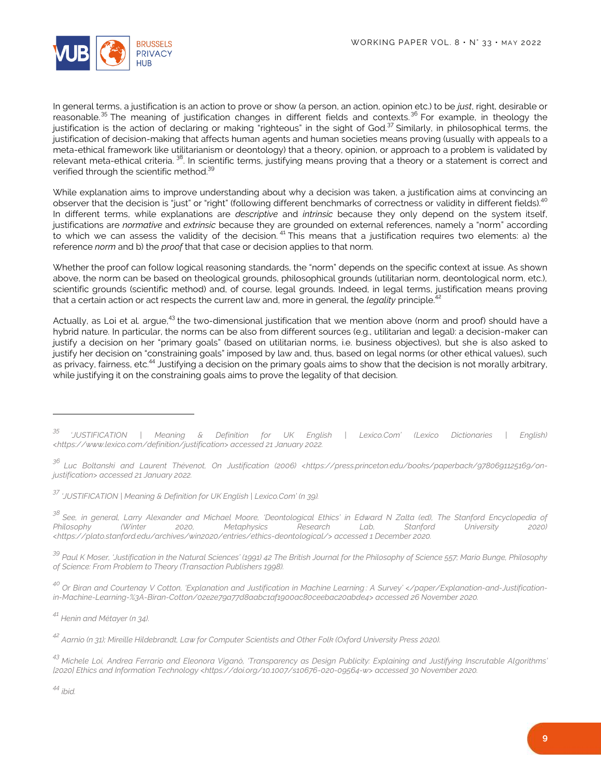

In general terms, a justification is an action to prove or show (a person, an action, opinion etc.) to be *just*, right, desirable or reasonable.<sup>35</sup> The meaning of justification changes in different fields and contexts.<sup>36</sup> For example, in theology the justification is the action of declaring or making "righteous" in the sight of God.<sup>37</sup> Similarly, in philosophical terms, the justification of decision-making that affects human agents and human societies means proving (usually with appeals to a meta-ethical framework like utilitarianism or deontology) that a theory, opinion, or approach to a problem is validated by relevant meta-ethical criteria. <sup>38</sup>. In scientific terms, justifying means proving that a theory or a statement is correct and verified through the scientific method.<sup>39</sup>

While explanation aims to improve understanding about why a decision was taken, a justification aims at convincing an observer that the decision is "just" or "right" (following different benchmarks of correctness or validity in different fields).<sup>40</sup> In different terms, while explanations are *descriptive* and *intrinsic* because they only depend on the system itself, justifications are *normative* and *extrinsic* because they are grounded on external references, namely a "norm" according to which we can assess the validity of the decision.<sup>41</sup> This means that a justification requires two elements: a) the reference *norm* and b) the *proof* that that case or decision applies to that norm.

Whether the proof can follow logical reasoning standards, the "norm" depends on the specific context at issue. As shown above, the norm can be based on theological grounds, philosophical grounds (utilitarian norm, deontological norm, etc.), scientific grounds (scientific method) and, of course, legal grounds. Indeed, in legal terms, justification means proving that a certain action or act respects the current law and, more in general, the *legality* principle.<sup>42</sup>

Actually, as Loi et al. argue,<sup>43</sup> the two-dimensional justification that we mention above (norm and proof) should have a hybrid nature. In particular, the norms can be also from different sources (e.g., utilitarian and legal): a decision-maker can justify a decision on her "primary goals" (based on utilitarian norms, i.e. business objectives), but she is also asked to justify her decision on "constraining goals" imposed by law and, thus, based on legal norms (or other ethical values), such as privacy, fairness, etc.<sup>44</sup> Justifying a decision on the primary goals aims to show that the decision is not morally arbitrary, while justifying it on the constraining goals aims to prove the legality of that decision.

*<sup>38</sup> See, in general, Larry Alexander and Michael Moore, 'Deontological Ethics' in Edward N Zalta (ed), The Stanford Encyclopedia of Philosophy (Winter 2020, Metaphysics Research Lab, Stanford University 2020) <https://plato.stanford.edu/archives/win2020/entries/ethics-deontological/> accessed 1 December 2020.*

*<sup>39</sup> Paul K Moser, 'Justification in the Natural Sciences' (1991) 42 The British Journal for the Philosophy of Science 557; Mario Bunge, Philosophy of Science: From Problem to Theory (Transaction Publishers 1998).*

*<sup>40</sup> Or Biran and Courtenay V Cotton, 'Explanation and Justification in Machine Learning : A Survey' </paper/Explanation-and-Justificationin-Machine-Learning-%3A-Biran-Cotton/02e2e79a77d8aabc1af1900ac80ceebac20abde4> accessed 26 November 2020.*

*<sup>41</sup> Henin and Métayer (n 34).*

*<sup>42</sup> Aarnio (n 31); Mireille Hildebrandt, Law for Computer Scientists and Other Folk (Oxford University Press 2020).*

*<sup>43</sup> Michele Loi, Andrea Ferrario and Eleonora Viganò, 'Transparency as Design Publicity: Explaining and Justifying Inscrutable Algorithms' [2020] Ethics and Information Technology <https://doi.org/10.1007/s10676-020-09564-w> accessed 30 November 2020.*

*<sup>44</sup> ibid.*

 $\overline{a}$ 

*<sup>35</sup> 'JUSTIFICATION | Meaning & Definition for UK English | Lexico.Com' (Lexico Dictionaries | English) <https://www.lexico.com/definition/justification> accessed 21 January 2022.*

*<sup>36</sup> Luc Boltanski and Laurent Thévenot, On Justification (2006) <https://press.princeton.edu/books/paperback/9780691125169/onjustification> accessed 21 January 2022.*

*<sup>37</sup> 'JUSTIFICATION | Meaning & Definition for UK English | Lexico.Com' (n 39).*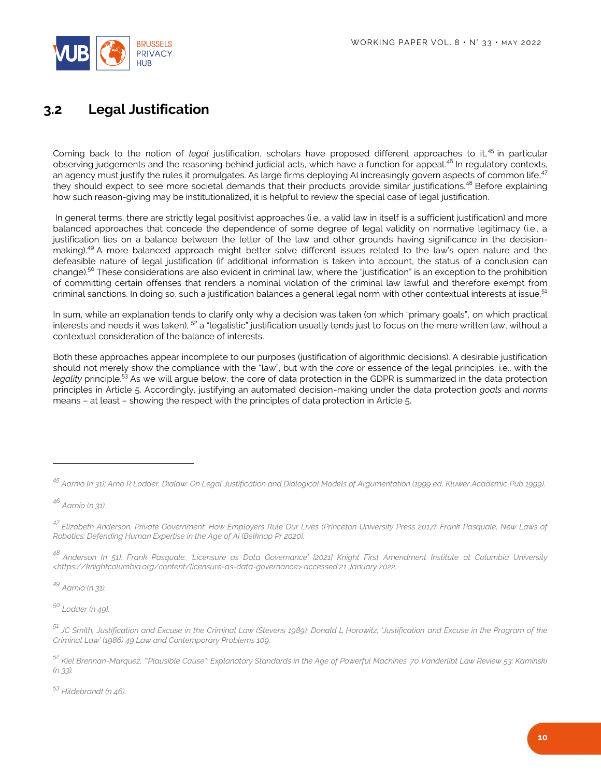

### <span id="page-9-0"></span>**3.2 Legal Justification**

Coming back to the notion of *legal* justification, scholars have proposed different approaches to it, <sup>45</sup> in particular observing judgements and the reasoning behind judicial acts, which have a function for appeal.<sup>46</sup> In regulatory contexts, an agency must justify the rules it promulgates. As large firms deploying AI increasingly govern aspects of common life,<sup>47</sup> they should expect to see more societal demands that their products provide similar justifications.<sup>48</sup> Before explaining how such reason-giving may be institutionalized, it is helpful to review the special case of legal justification.

In general terms, there are strictly legal positivist approaches (i.e., a valid law in itself is a sufficient justification) and more balanced approaches that concede the dependence of some degree of legal validity on normative legitimacy (i.e., a justification lies on a balance between the letter of the law and other grounds having significance in the decisionmaking).<sup>49</sup> A more balanced approach might better solve different issues related to the law's open nature and the defeasible nature of legal justification (if additional information is taken into account, the status of a conclusion can change).<sup>50</sup> These considerations are also evident in criminal law, where the "justification" is an exception to the prohibition of committing certain offenses that renders a nominal violation of the criminal law lawful and therefore exempt from criminal sanctions. In doing so, such a justification balances a general legal norm with other contextual interests at issue.<sup>51</sup>

In sum, while an explanation tends to clarify only why a decision was taken (on which "primary goals", on which practical interests and needs it was taken),  $52$  a "legalistic" justification usually tends just to focus on the mere written law, without a contextual consideration of the balance of interests.

Both these approaches appear incomplete to our purposes (justification of algorithmic decisions). A desirable justification should not merely show the compliance with the "law", but with the *core* or essence of the legal principles, i.e., with the *legality* principle.<sup>53</sup> As we will argue below, the core of data protection in the GDPR is summarized in the data protection principles in Article 5. Accordingly, justifying an automated decision-making under the data protection *goals* and *norms*  means – at least – showing the respect with the principles of data protection in Article 5.

*<sup>46</sup> Aarnio (n 31).*

<span id="page-9-1"></span> $\overline{a}$ 

*<sup>49</sup> Aarnio (n 31).*

*<sup>50</sup> Lodder (n 49).*

*<sup>53</sup> Hildebrandt (n 46).*

*<sup>45</sup> Aarnio (n 31); Arno R Lodder, Dialaw: On Legal Justification and Dialogical Models of Argumentation (1999 ed, Kluwer Academic Pub 1999).*

*<sup>47</sup> Elizabeth Anderson, Private Government: How Employers Rule Our Lives (Princeton University Press 2017); Frank Pasquale, New Laws of Robotics: Defending Human Expertise in the Age of Ai (Belknap Pr 2020).*

*<sup>48</sup> Anderson (n 51); Frank Pasquale, 'Licensure as Data Governance' [2021] Knight First Amendment Institute at Columbia University <https://knightcolumbia.org/content/licensure-as-data-governance> accessed 21 January 2022.*

*<sup>51</sup> JC Smith, Justification and Excuse in the Criminal Law (Stevens 1989); Donald L Horowitz, 'Justification and Excuse in the Program of the Criminal Law' (1986) 49 Law and Contemporary Problems 109.*

*<sup>52</sup> Kiel Brennan-Marquez, '"Plausible Cause": Explanatory Standards in the Age of Powerful Machines' 70 Vanderlibt Law Review 53; Kaminski (n 33).*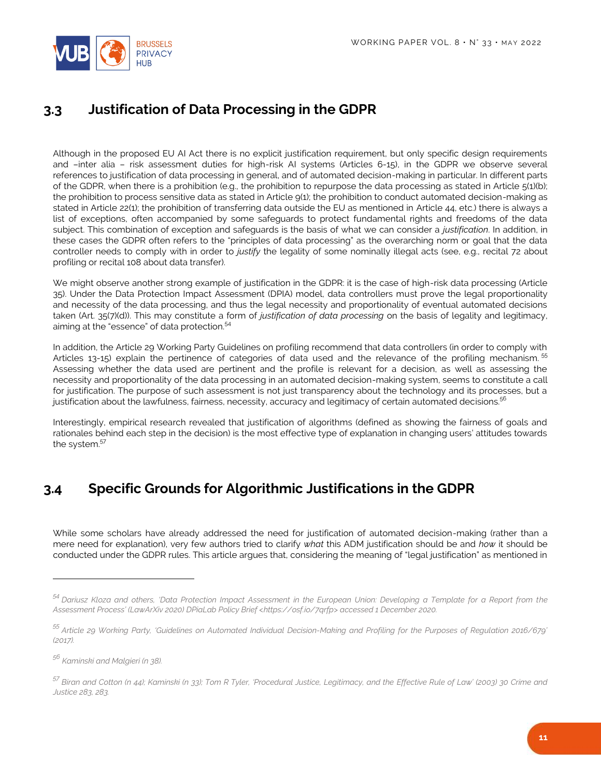

## **3.3 Justification of Data Processing in the GDPR**

Although in the proposed EU AI Act there is no explicit justification requirement, but only specific design requirements and –inter alia – risk assessment duties for high-risk AI systems (Articles 6-15), in the GDPR we observe several references to justification of data processing in general, and of automated decision-making in particular. In different parts of the GDPR, when there is a prohibition (e.g., the prohibition to repurpose the data processing as stated in Article 5(1)(b); the prohibition to process sensitive data as stated in Article 9(1); the prohibition to conduct automated decision-making as stated in Article 22(1); the prohibition of transferring data outside the EU as mentioned in Article 44, etc.) there is always a list of exceptions, often accompanied by some safeguards to protect fundamental rights and freedoms of the data subject. This combination of exception and safeguards is the basis of what we can consider a *justification*. In addition, in these cases the GDPR often refers to the "principles of data processing" as the overarching norm or goal that the data controller needs to comply with in order to *justify* the legality of some nominally illegal acts (see, e.g., recital 72 about profiling or recital 108 about data transfer).

We might observe another strong example of justification in the GDPR: it is the case of high-risk data processing (Article 35). Under the Data Protection Impact Assessment (DPIA) model, data controllers must prove the legal proportionality and necessity of the data processing, and thus the legal necessity and proportionality of eventual automated decisions taken (Art. 35(7)(d)). This may constitute a form of *justification of data processing* on the basis of legality and legitimacy, aiming at the "essence" of data protection.<sup>54</sup>

In addition, the Article 29 Working Party Guidelines on profiling recommend that data controllers (in order to comply with Articles 13-15) explain the pertinence of categories of data used and the relevance of the profiling mechanism. <sup>55</sup> Assessing whether the data used are pertinent and the profile is relevant for a decision, as well as assessing the necessity and proportionality of the data processing in an automated decision-making system, seems to constitute a call for justification. The purpose of such assessment is not just transparency about the technology and its processes, but a justification about the lawfulness, fairness, necessity, accuracy and legitimacy of certain automated decisions.<sup>56</sup>

Interestingly, empirical research revealed that justification of algorithms (defined as showing the fairness of goals and rationales behind each step in the decision) is the most effective type of explanation in changing users' attitudes towards the system.<sup>57</sup>

## <span id="page-10-0"></span>**3.4 Specific Grounds for Algorithmic Justifications in the GDPR**

While some scholars have already addressed the need for justification of automated decision-making (rather than a mere need for explanation), very few authors tried to clarify *what* this ADM justification should be and *how* it should be conducted under the GDPR rules. This article argues that, considering the meaning of "legal justification" as mentioned in

 $\overline{a}$ 

*<sup>54</sup> Dariusz Kloza and others, 'Data Protection Impact Assessment in the European Union: Developing a Template for a Report from the Assessment Process' (LawArXiv 2020) DPiaLab Policy Brief <https://osf.io/7qrfp> accessed 1 December 2020.*

*<sup>55</sup> Article 29 Working Party, 'Guidelines on Automated Individual Decision-Making and Profiling for the Purposes of Regulation 2016/679' (2017).*

*<sup>56</sup> Kaminski and Malgieri (n 38).*

*<sup>57</sup> Biran and Cotton (n 44); Kaminski (n 33); Tom R Tyler, 'Procedural Justice, Legitimacy, and the Effective Rule of Law' (2003) 30 Crime and Justice 283, 283.*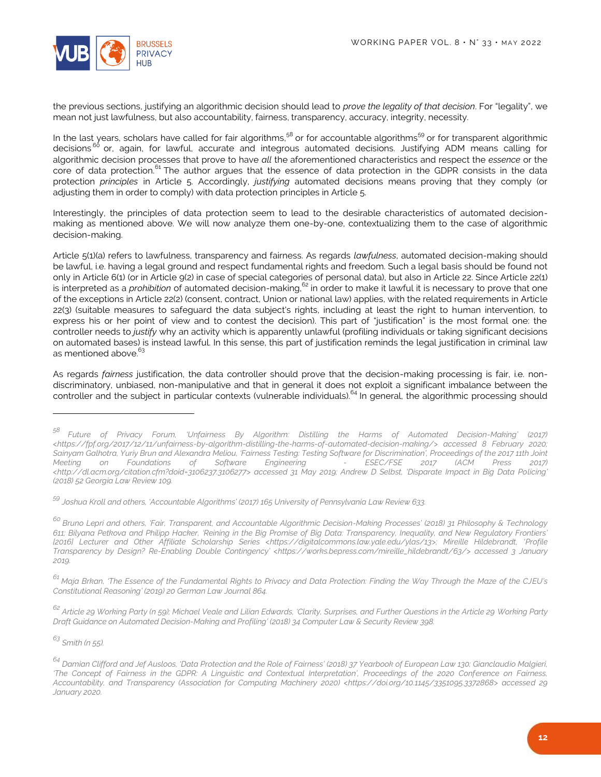

the previous sections, justifying an algorithmic decision should lead to *prove the legality of that decision*. For "legality", we mean not just lawfulness, but also accountability, fairness, transparency, accuracy, integrity, necessity.

In the last years, scholars have called for fair algorithms,<sup>58</sup> or for accountable algorithms<sup>59</sup> or for transparent algorithmic decisions<sup>60</sup> or, again, for lawful, accurate and integrous automated decisions. Justifying ADM means calling for algorithmic decision processes that prove to have *all* the aforementioned characteristics and respect the *essence* or the core of data protection.<sup>61</sup> The author argues that the essence of data protection in the GDPR consists in the data protection *principles* in Article 5. Accordingly, *justifying* automated decisions means proving that they comply (or adjusting them in order to comply) with data protection principles in Article 5.

Interestingly, the principles of data protection seem to lead to the desirable characteristics of automated decisionmaking as mentioned above. We will now analyze them one-by-one, contextualizing them to the case of algorithmic decision-making.

Article 5(1)(a) refers to lawfulness, transparency and fairness. As regards *lawfulness*, automated decision-making should be lawful, i.e. having a legal ground and respect fundamental rights and freedom. Such a legal basis should be found not only in Article 6(1) (or in Article 9(2) in case of special categories of personal data), but also in Article 22. Since Article 22(1) is interpreted as a *prohibition* of automated decision-making,<sup>62</sup> in order to make it lawful it is necessary to prove that one of the exceptions in Article 22(2) (consent, contract, Union or national law) applies, with the related requirements in Article 22(3) (suitable measures to safeguard the data subject's rights, including at least the right to human intervention, to express his or her point of view and to contest the decision). This part of "justification" is the most formal one: the controller needs to *justify* why an activity which is apparently unlawful (profiling individuals or taking significant decisions on automated bases) is instead lawful. In this sense, this part of justification reminds the legal justification in criminal law as mentioned above.

As regards *fairness* justification, the data controller should prove that the decision-making processing is fair, i.e. nondiscriminatory, unbiased, non-manipulative and that in general it does not exploit a significant imbalance between the controller and the subject in particular contexts (vulnerable individuals).<sup>64</sup> In general, the algorithmic processing should

*<sup>62</sup> Article 29 Working Party (n 59); Michael Veale and Lilian Edwards, 'Clarity, Surprises, and Further Questions in the Article 29 Working Party Draft Guidance on Automated Decision-Making and Profiling' (2018) 34 Computer Law & Security Review 398.*

*<sup>63</sup> Smith (n 55).*

 $\overline{a}$ 

*<sup>58</sup> Future of Privacy Forum, 'Unfairness By Algorithm: Distilling the Harms of Automated Decision-Making' (2017) <https://fpf.org/2017/12/11/unfairness-by-algorithm-distilling-the-harms-of-automated-decision-making/> accessed 8 February 2020; Sainyam Galhotra, Yuriy Brun and Alexandra Meliou, 'Fairness Testing: Testing Software for Discrimination', Proceedings of the 2017 11th Joint Meeting on Foundations of Software Engineering - ESEC/FSE 2017 (ACM Press 2017) <http://dl.acm.org/citation.cfm?doid=3106237.3106277> accessed 31 May 2019; Andrew D Selbst, 'Disparate Impact in Big Data Policing' (2018) 52 Georgia Law Review 109.*

*<sup>59</sup> Joshua Kroll and others, 'Accountable Algorithms' (2017) 165 University of Pennsylvania Law Review 633.*

*<sup>60</sup> Bruno Lepri and others, 'Fair, Transparent, and Accountable Algorithmic Decision-Making Processes' (2018) 31 Philosophy & Technology 611; Bilyana Petkova and Philipp Hacker, 'Reining in the Big Promise of Big Data: Transparency, Inequality, and New Regulatory Frontiers' [2016] Lecturer and Other Affiliate Scholarship Series <https://digitalcommons.law.yale.edu/ylas/13>; Mireille Hildebrandt, 'Profile Transparency by Design? Re-Enabling Double Contingency' <https://works.bepress.com/mireille\_hildebrandt/63/> accessed 3 January 2019.*

*<sup>61</sup> Maja Brkan, 'The Essence of the Fundamental Rights to Privacy and Data Protection: Finding the Way Through the Maze of the CJEU's Constitutional Reasoning' (2019) 20 German Law Journal 864.*

*<sup>64</sup> Damian Clifford and Jef Ausloos, 'Data Protection and the Role of Fairness' (2018) 37 Yearbook of European Law 130; Gianclaudio Malgieri, 'The Concept of Fairness in the GDPR: A Linguistic and Contextual Interpretation', Proceedings of the 2020 Conference on Fairness, Accountability, and Transparency (Association for Computing Machinery 2020) <https://doi.org/10.1145/3351095.3372868> accessed 29 January 2020.*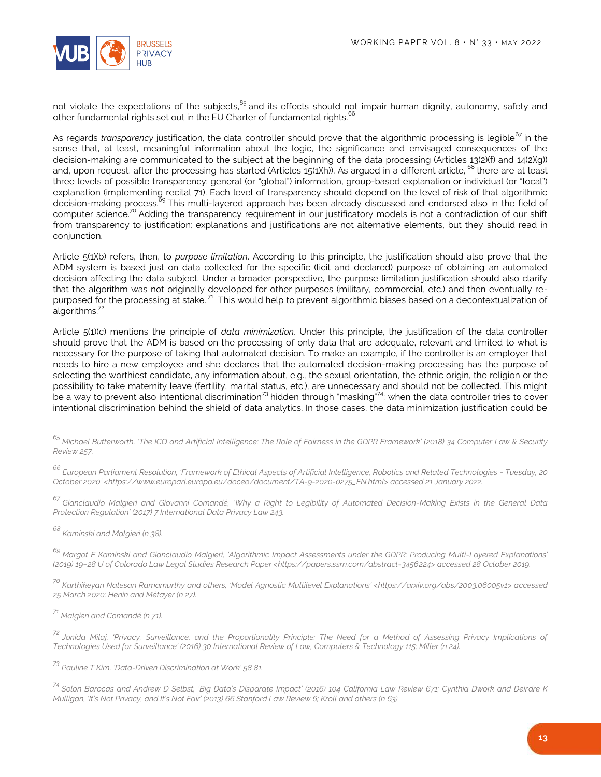

not violate the expectations of the subjects,<sup>65</sup> and its effects should not impair human dignity, autonomy, safety and other fundamental rights set out in the EU Charter of fundamental rights.<sup>6</sup>

As regards *transparency* justification, the data controller should prove that the algorithmic processing is legible<sup>67</sup> in the sense that, at least, meaningful information about the logic, the significance and envisaged consequences of the decision-making are communicated to the subject at the beginning of the data processing (Articles 13(2)(f) and 14(2)(g)) and, upon request, after the processing has started (Articles 15(1)(h)). As argued in a different article, <sup>68</sup> there are at least three levels of possible transparency: general (or "global") information, group-based explanation or individual (or "local") explanation (implementing recital 71). Each level of transparency should depend on the level of risk of that algorithmic decision-making process.<sup>69</sup> This multi-layered approach has been already discussed and endorsed also in the field of computer science.<sup>70</sup> Adding the transparency requirement in our justificatory models is not a contradiction of our shift from transparency to justification: explanations and justifications are not alternative elements, but they should read in conjunction.

Article 5(1)(b) refers, then, to *purpose limitation*. According to this principle, the justification should also prove that the ADM system is based just on data collected for the specific (licit and declared) purpose of obtaining an automated decision affecting the data subject. Under a broader perspective, the purpose limitation justification should also clarify that the algorithm was not originally developed for other purposes (military, commercial, etc.) and then eventually repurposed for the processing at stake.<sup>71</sup> This would help to prevent algorithmic biases based on a decontextualization of algorithms. $72$ 

Article 5(1)(c) mentions the principle of *data minimization*. Under this principle, the justification of the data controller should prove that the ADM is based on the processing of only data that are adequate, relevant and limited to what is necessary for the purpose of taking that automated decision. To make an example, if the controller is an employer that needs to hire a new employee and she declares that the automated decision-making processing has the purpose of selecting the worthiest candidate, any information about, e.g., the sexual orientation, the ethnic origin, the religion or the possibility to take maternity leave (fertility, marital status, etc.), are unnecessary and should not be collected. This might be a way to prevent also intentional discrimination<sup>73</sup> hidden through "masking"<sup>74</sup>: when the data controller tries to cover intentional discrimination behind the shield of data analytics. In those cases, the data minimization justification could be

*<sup>68</sup> Kaminski and Malgieri (n 38).*

 $\overline{a}$ 

*<sup>69</sup> Margot E Kaminski and Gianclaudio Malgieri, 'Algorithmic Impact Assessments under the GDPR: Producing Multi-Layered Explanations' (2019) 19–28 U of Colorado Law Legal Studies Research Paper <https://papers.ssrn.com/abstract=3456224> accessed 28 October 2019.*

*<sup>70</sup> Karthikeyan Natesan Ramamurthy and others, 'Model Agnostic Multilevel Explanations' <https://arxiv.org/abs/2003.06005v1> accessed 25 March 2020; Henin and Métayer (n 27).*

*<sup>71</sup> Malgieri and Comandé (n 71).*

*<sup>73</sup> Pauline T Kim, 'Data-Driven Discrimination at Work' 58 81.*

*<sup>74</sup> Solon Barocas and Andrew D Selbst, 'Big Data's Disparate Impact' (2016) 104 California Law Review 671; Cynthia Dwork and Deirdre K Mulligan, 'It's Not Privacy, and It's Not Fair' (2013) 66 Stanford Law Review 6; Kroll and others (n 63).* 

*<sup>65</sup> Michael Butterworth, 'The ICO and Artificial Intelligence: The Role of Fairness in the GDPR Framework' (2018) 34 Computer Law & Security Review 257.*

*<sup>66</sup> European Parliament Resolution, 'Framework of Ethical Aspects of Artificial Intelligence, Robotics and Related Technologies - Tuesday, 20 October 2020' <https://www.europarl.europa.eu/doceo/document/TA-9-2020-0275\_EN.html> accessed 21 January 2022.*

*<sup>67</sup> Gianclaudio Malgieri and Giovanni Comandé, 'Why a Right to Legibility of Automated Decision-Making Exists in the General Data Protection Regulation' (2017) 7 International Data Privacy Law 243.*

*<sup>72</sup> Jonida Milaj, 'Privacy, Surveillance, and the Proportionality Principle: The Need for a Method of Assessing Privacy Implications of Technologies Used for Surveillance' (2016) 30 International Review of Law, Computers & Technology 115; Miller (n 24).*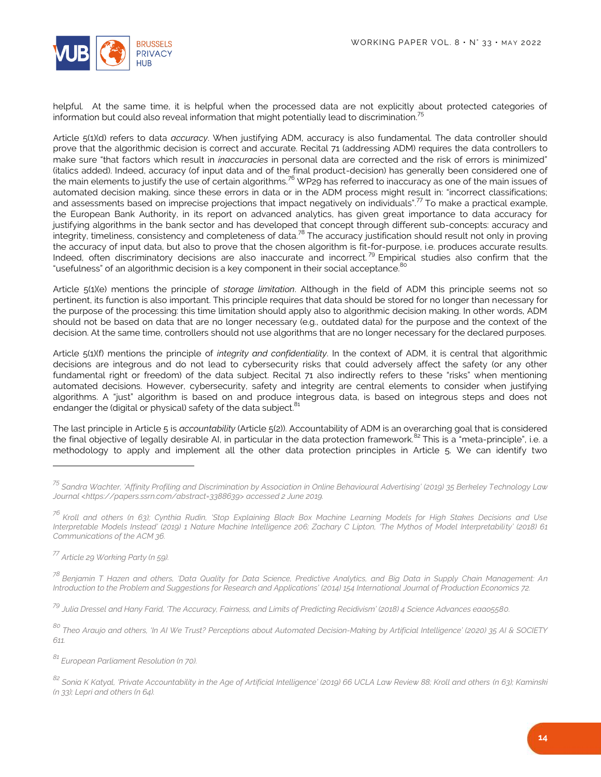

helpful. At the same time, it is helpful when the processed data are not explicitly about protected categories of information but could also reveal information that might potentially lead to discrimination.<sup>75</sup>

Article 5(1)(d) refers to data *accuracy*. When justifying ADM, accuracy is also fundamental. The data controller should prove that the algorithmic decision is correct and accurate. Recital 71 (addressing ADM) requires the data controllers to make sure "that factors which result in *inaccuracies* in personal data are corrected and the risk of errors is minimized" (italics added). Indeed, accuracy (of input data and of the final product-decision) has generally been considered one of the main elements to justify the use of certain algorithms.<sup>76</sup> WP29 has referred to inaccuracy as one of the main issues of automated decision making, since these errors in data or in the ADM process might result in: "incorrect classifications; and assessments based on imprecise projections that impact negatively on individuals".<sup>77</sup> To make a practical example, the European Bank Authority, in its report on advanced analytics, has given great importance to data accuracy for justifying algorithms in the bank sector and has developed that concept through different sub-concepts: accuracy and integrity, timeliness, consistency and completeness of data.<sup>78</sup> The accuracy justification should result not only in proving the accuracy of input data, but also to prove that the chosen algorithm is fit-for-purpose, i.e. produces accurate results. Indeed, often discriminatory decisions are also inaccurate and incorrect.<sup>79</sup> Empirical studies also confirm that the "usefulness" of an algorithmic decision is a key component in their social acceptance.<sup>80</sup>

Article 5(1)(e) mentions the principle of *storage limitation*. Although in the field of ADM this principle seems not so pertinent, its function is also important. This principle requires that data should be stored for no longer than necessary for the purpose of the processing: this time limitation should apply also to algorithmic decision making. In other words, ADM should not be based on data that are no longer necessary (e.g., outdated data) for the purpose and the context of the decision. At the same time, controllers should not use algorithms that are no longer necessary for the declared purposes.

Article 5(1)(f) mentions the principle of *integrity and confidentiality*. In the context of ADM, it is central that algorithmic decisions are integrous and do not lead to cybersecurity risks that could adversely affect the safety (or any other fundamental right or freedom) of the data subject. Recital 71 also indirectly refers to these "risks" when mentioning automated decisions. However, cybersecurity, safety and integrity are central elements to consider when justifying algorithms. A "just" algorithm is based on and produce integrous data, is based on integrous steps and does not endanger the (digital or physical) safety of the data subject.<sup>81</sup>

The last principle in Article 5 is *accountability* (Article 5(2)). Accountability of ADM is an overarching goal that is considered the final objective of legally desirable AI, in particular in the data protection framework.<sup>82</sup> This is a "meta-principle", i.e. a methodology to apply and implement all the other data protection principles in Article 5. We can identify two

l

*<sup>75</sup> Sandra Wachter, 'Affinity Profiling and Discrimination by Association in Online Behavioural Advertising' (2019) 35 Berkeley Technology Law Journal <https://papers.ssrn.com/abstract=3388639> accessed 2 June 2019.*

*<sup>76</sup> Kroll and others (n 63); Cynthia Rudin, 'Stop Explaining Black Box Machine Learning Models for High Stakes Decisions and Use Interpretable Models Instead' (2019) 1 Nature Machine Intelligence 206; Zachary C Lipton, 'The Mythos of Model Interpretability' (2018) 61 Communications of the ACM 36.*

*<sup>77</sup> Article 29 Working Party (n 59).*

*<sup>78</sup> Benjamin T Hazen and others, 'Data Quality for Data Science, Predictive Analytics, and Big Data in Supply Chain Management: A<sup>n</sup> Introduction to the Problem and Suggestions for Research and Applications' (2014) 154 International Journal of Production Economics 72.* 

*<sup>79</sup> Julia Dressel and Hany Farid, 'The Accuracy, Fairness, and Limits of Predicting Recidivism' (2018) 4 Science Advances eaao5580.*

*<sup>80</sup> Theo Araujo and others, 'In AI We Trust? Perceptions about Automated Decision-Making by Artificial Intelligence' (2020) 35 AI & SOCIETY 611.*

*<sup>81</sup> European Parliament Resolution (n 70).*

*<sup>82</sup> Sonia K Katyal, 'Private Accountability in the Age of Artificial Intelligence' (2019) 66 UCLA Law Review 88; Kroll and others (n 63); Kaminski (n 33); Lepri and others (n 64).*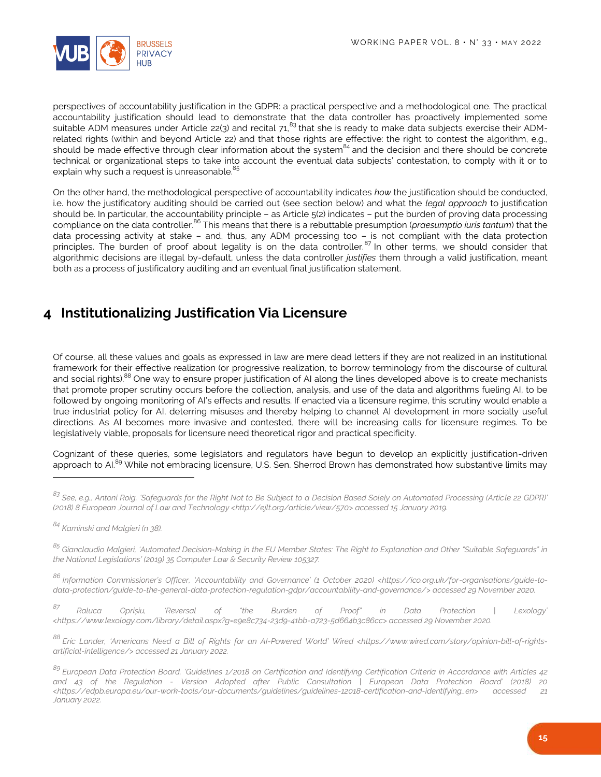

perspectives of accountability justification in the GDPR: a practical perspective and a methodological one. The practical accountability justification should lead to demonstrate that the data controller has proactively implemented some suitable ADM measures under Article 22(3) and recital  $71<sup>83</sup>$  that she is ready to make data subjects exercise their ADMrelated rights (within and beyond Article 22) and that those rights are effective: the right to contest the algorithm, e.g., should be made effective through clear information about the system<sup>84</sup> and the decision and there should be concrete technical or organizational steps to take into account the eventual data subjects' contestation, to comply with it or to explain why such a request is unreasonable.<sup>8</sup>

On the other hand, the methodological perspective of accountability indicates *how* the justification should be conducted, i.e. how the justificatory auditing should be carried out (see section below) and what the *legal approach* to justification should be. In particular, the accountability principle – as Article 5(2) indicates – put the burden of proving data processing compliance on the data controller. <sup>86</sup> This means that there is a rebuttable presumption (*praesumptio iuris tantum*) that the data processing activity at stake – and, thus, any ADM processing too – is not compliant with the data protection principles. The burden of proof about legality is on the data controller.<sup>87</sup> In other terms, we should consider that algorithmic decisions are illegal by-default, unless the data controller *justifies* them through a valid justification, meant both as a process of justificatory auditing and an eventual final justification statement.

#### <span id="page-14-0"></span>**4 Institutionalizing Justification Via Licensure**

Of course, all these values and goals as expressed in law are mere dead letters if they are not realized in an institutional framework for their effective realization (or progressive realization, to borrow terminology from the discourse of cultural and social rights).<sup>88</sup> One way to ensure proper justification of AI along the lines developed above is to create mechanists that promote proper scrutiny occurs before the collection, analysis, and use of the data and algorithms fueling AI, to be followed by ongoing monitoring of AI's effects and results. If enacted via a licensure regime, this scrutiny would enable a true industrial policy for AI, deterring misuses and thereby helping to channel AI development in more socially useful directions. As AI becomes more invasive and contested, there will be increasing calls for licensure regimes. To be legislatively viable, proposals for licensure need theoretical rigor and practical specificity.

Cognizant of these queries, some legislators and regulators have begun to develop an explicitly justification-driven approach to AI.<sup>89</sup> While not embracing licensure, U.S. Sen. Sherrod Brown has demonstrated how substantive limits may

 $\overline{a}$ 

*<sup>86</sup> Information Commissioner's Officer, 'Accountability and Governance' (1 October 2020) <https://ico.org.uk/for-organisations/guide-todata-protection/guide-to-the-general-data-protection-regulation-gdpr/accountability-and-governance/> accessed 29 November 2020.*

*<sup>87</sup> Raluca Oprișiu, 'Reversal of "the Burden of Proof" in Data Protection | Lexology' <https://www.lexology.com/library/detail.aspx?g=e9e8c734-23d9-41bb-a723-5d664b3c86cc> accessed 29 November 2020.*

*<sup>88</sup> Eric Lander, 'Americans Need a Bill of Rights for an AI-Powered World' Wired <https://www.wired.com/story/opinion-bill-of-rightsartificial-intelligence/> accessed 21 January 2022.*

*<sup>83</sup> See, e.g., Antoni Roig, 'Safeguards for the Right Not to Be Subject to a Decision Based Solely on Automated Processing (Article 22 GDPR)' (2018) 8 European Journal of Law and Technology <http://ejlt.org/article/view/570> accessed 15 January 2019.*

*<sup>84</sup> Kaminski and Malgieri (n 38).*

*<sup>85</sup> Gianclaudio Malgieri, 'Automated Decision-Making in the EU Member States: The Right to Explanation and Other "Suitable Safeguards" in the National Legislations' (2019) 35 Computer Law & Security Review 105327.*

*<sup>89</sup> European Data Protection Board, 'Guidelines 1/2018 on Certification and Identifying Certification Criteria in Accordance with Articles 42 and 43 of the Regulation - Version Adopted after Public Consultation | European Data Protection Board' (2018) 20 <https://edpb.europa.eu/our-work-tools/our-documents/guidelines/guidelines-12018-certification-and-identifying\_en> accessed 21 January 2022.*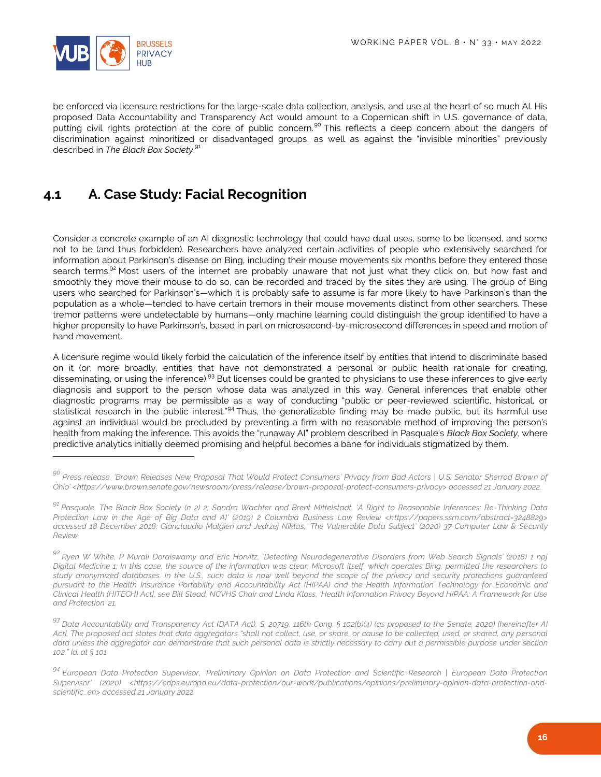

l

be enforced via licensure restrictions for the large-scale data collection, analysis, and use at the heart of so much AI. His proposed Data Accountability and Transparency Act would amount to a Copernican shift in U.S. governance of data, putting civil rights protection at the core of public concern.<sup>90</sup> This reflects a deep concern about the dangers of discrimination against minoritized or disadvantaged groups, as well as against the "invisible minorities" previously described in *The Black Box Society*. 91

### <span id="page-15-0"></span>**4.1 A. Case Study: Facial Recognition**

Consider a concrete example of an AI diagnostic technology that could have dual uses, some to be licensed, and some not to be (and thus forbidden). Researchers have analyzed certain activities of people who extensively searched for information about Parkinson's disease on Bing, including their mouse movements six months before they entered those search terms.<sup>92</sup> Most users of the internet are probably unaware that not just what they click on, but how fast and smoothly they move their mouse to do so, can be recorded and traced by the sites they are using. The group of Bing users who searched for Parkinson's—which it is probably safe to assume is far more likely to have Parkinson's than the population as a whole—tended to have certain tremors in their mouse movements distinct from other searchers. These tremor patterns were undetectable by humans—only machine learning could distinguish the group identified to have a higher propensity to have Parkinson's, based in part on microsecond-by-microsecond differences in speed and motion of hand movement.

A licensure regime would likely forbid the calculation of the inference itself by entities that intend to discriminate based on it (or, more broadly, entities that have not demonstrated a personal or public health rationale for creating, disseminating, or using the inference).<sup>93</sup> But licenses could be granted to physicians to use these inferences to give early diagnosis and support to the person whose data was analyzed in this way. General inferences that enable other diagnostic programs may be permissible as a way of conducting "public or peer-reviewed scientific, historical, or statistical research in the public interest."<sup>94</sup> Thus, the generalizable finding may be made public, but its harmful use against an individual would be precluded by preventing a firm with no reasonable method of improving the person's health from making the inference. This avoids the "runaway AI" problem described in Pasquale's *Black Box Society*, where predictive analytics initially deemed promising and helpful becomes a bane for individuals stigmatized by them.

*<sup>90</sup> Press release, 'Brown Releases New Proposal That Would Protect Consumers' Privacy from Bad Actors | U.S. Senator Sherrod Brown of Ohio' <https://www.brown.senate.gov/newsroom/press/release/brown-proposal-protect-consumers-privacy> accessed 21 January 2022.*

*<sup>91</sup> Pasquale, The Black Box Society (n 2) 2; Sandra Wachter and Brent Mittelstadt, 'A Right to Reasonable Inferences: Re-Thinking Data Protection Law in the Age of Big Data and AI' (2019) 2 Columbia Business Law Review <https://papers.ssrn.com/abstract=3248829> accessed 18 December 2018; Gianclaudio Malgieri and Jedrzej Niklas, 'The Vulnerable Data Subject' (2020) 37 Computer Law & Security Review.*

*<sup>92</sup> Ryen W White, P Murali Doraiswamy and Eric Horvitz, 'Detecting Neurodegenerative Disorders from Web Search Signals' (2018) 1 npj Digital Medicine 1; In this case, the source of the information was clear: Microsoft itself, which operates Bing, permitted the researchers to study anonymized databases. In the U.S., such data is now well beyond the scope of the privacy and security protections guaranteed pursuant to the Health Insurance Portability and Accountability Act (HIPAA) and the Health Information Technology for Economic and Clinical Health (HITECH) Act], see Bill Stead, NCVHS Chair and Linda Kloss, 'Health Information Privacy Beyond HIPAA: A Framework for Use and Protection' 21.*

*<sup>93</sup> Data Accountability and Transparency Act (DATA Act), S. 20719, 116th Cong. § 102(b)(4) (as proposed to the Senate, 2020) [hereinafter AI Act]. The proposed act states that data aggregators "shall not collect, use, or share, or cause to be collected, used, or shared, any personal data unless the aggregator can demonstrate that such personal data is strictly necessary to carry out a permissible purpose under section 102." Id. at § 101.*

*<sup>94</sup> European Data Protection Supervisor, 'Preliminary Opinion on Data Protection and Scientific Research | European Data Protection Supervisor' (2020) <https://edps.europa.eu/data-protection/our-work/publications/opinions/preliminary-opinion-data-protection-andscientific\_en> accessed 21 January 2022.*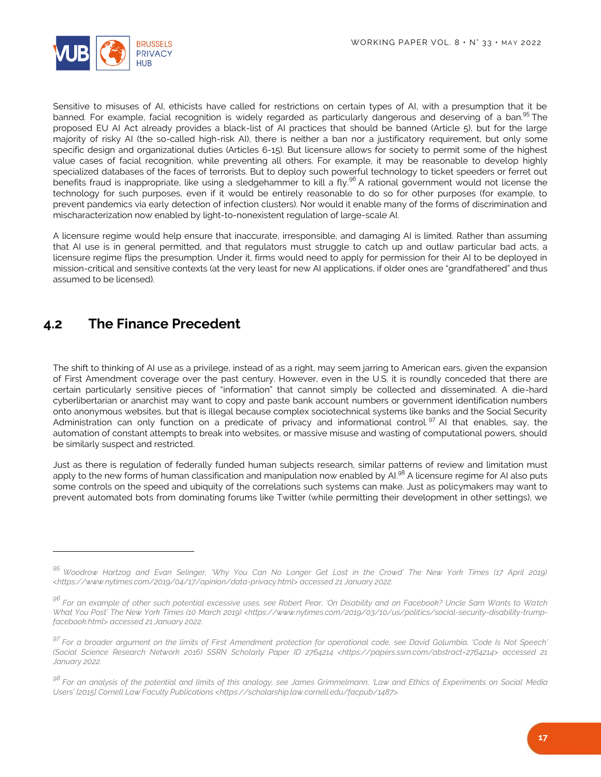

Sensitive to misuses of AI, ethicists have called for restrictions on certain types of AI, with a presumption that it be banned. For example, facial recognition is widely regarded as particularly dangerous and deserving of a ban.<sup>95</sup> The proposed EU AI Act already provides a black-list of AI practices that should be banned (Article 5), but for the large majority of risky AI (the so-called high-risk AI), there is neither a ban nor a justificatory requirement, but only some specific design and organizational duties (Articles 6-15). But licensure allows for society to permit some of the highest value cases of facial recognition, while preventing all others. For example, it may be reasonable to develop highly specialized databases of the faces of terrorists. But to deploy such powerful technology to ticket speeders or ferret out benefits fraud is inappropriate, like using a sledgehammer to kill a fly.<sup>96</sup> A rational government would not license the technology for such purposes, even if it would be entirely reasonable to do so for other purposes (for example, to prevent pandemics via early detection of infection clusters). Nor would it enable many of the forms of discrimination and mischaracterization now enabled by light-to-nonexistent regulation of large-scale AI.

A licensure regime would help ensure that inaccurate, irresponsible, and damaging AI is limited. Rather than assuming that AI use is in general permitted, and that regulators must struggle to catch up and outlaw particular bad acts, a licensure regime flips the presumption. Under it, firms would need to apply for permission for their AI to be deployed in mission-critical and sensitive contexts (at the very least for new AI applications, if older ones are "grandfathered" and thus assumed to be licensed).

#### <span id="page-16-0"></span>**4.2 The Finance Precedent**

l

The shift to thinking of AI use as a privilege, instead of as a right, may seem jarring to American ears, given the expansion of First Amendment coverage over the past century. However, even in the U.S. it is roundly conceded that there are certain particularly sensitive pieces of "information" that cannot simply be collected and disseminated. A die-hard cyberlibertarian or anarchist may want to copy and paste bank account numbers or government identification numbers onto anonymous websites, but that is illegal because complex sociotechnical systems like banks and the Social Security Administration can only function on a predicate of privacy and informational control.<sup>97</sup> AI that enables, say, the automation of constant attempts to break into websites, or massive misuse and wasting of computational powers, should be similarly suspect and restricted.

Just as there is regulation of federally funded human subjects research, similar patterns of review and limitation must apply to the new forms of human classification and manipulation now enabled by AI.<sup>98</sup> A licensure regime for AI also puts some controls on the speed and ubiquity of the correlations such systems can make. Just as policymakers may want to prevent automated bots from dominating forums like Twitter (while permitting their development in other settings), we

*<sup>95</sup> Woodrow Hartzog and Evan Selinger, 'Why You Can No Longer Get Lost in the Crowd' The New York Times (17 April 2019) <https://www.nytimes.com/2019/04/17/opinion/data-privacy.html> accessed 21 January 2022.*

*<sup>96</sup> For an example of other such potential excessive uses, see Robert Pear, 'On Disability and on Facebook? Uncle Sam Wants to Watch What You Post' The New York Times (10 March 2019) <https://www.nytimes.com/2019/03/10/us/politics/social-security-disability-trumpfacebook.html> accessed 21 January 2022.*

*<sup>97</sup> For a broader argument on the limits of First Amendment protection for operational code, see David Golumbia, 'Code Is Not Speech' (Social Science Research Network 2016) SSRN Scholarly Paper ID 2764214 <https://papers.ssrn.com/abstract=2764214> accessed 21 January 2022.*

*<sup>98</sup> For an analysis of the potential and limits of this analogy, see James Grimmelmann, 'Law and Ethics of Experiments on Social Media Users' [2015] Cornell Law Faculty Publications <https://scholarship.law.cornell.edu/facpub/1487>.*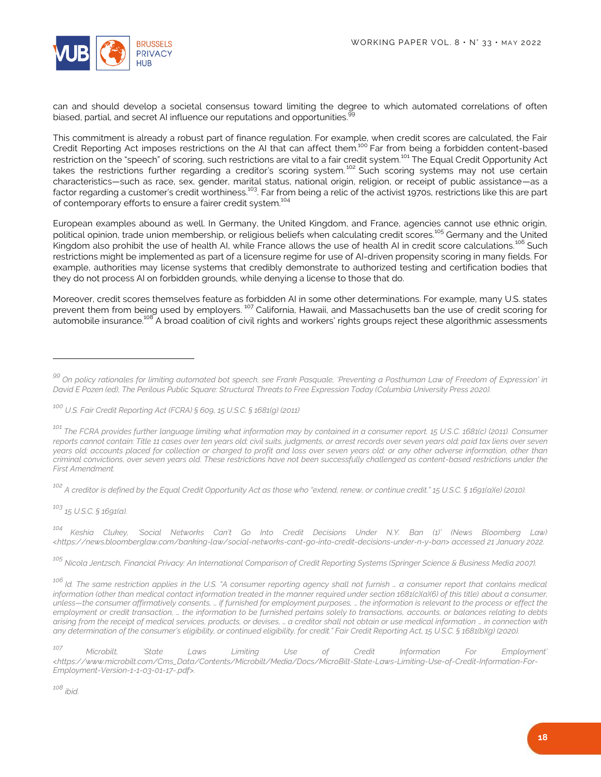

can and should develop a societal consensus toward limiting the degree to which automated correlations of often biased, partial, and secret AI influence our reputations and opportunities.<sup>9</sup>

This commitment is already a robust part of finance regulation. For example, when credit scores are calculated, the Fair Credit Reporting Act imposes restrictions on the AI that can affect them.<sup>100</sup> Far from being a forbidden content-based restriction on the "speech" of scoring, such restrictions are vital to a fair credit system.<sup>101</sup> The Equal Credit Opportunity Act takes the restrictions further regarding a creditor's scoring system.<sup>102</sup> Such scoring systems may not use certain characteristics—such as race, sex, gender, marital status, national origin, religion, or receipt of public assistance—as a factor regarding a customer's credit worthiness.<sup>103</sup>. Far from being a relic of the activist 1970s, restrictions like this are part of contemporary efforts to ensure a fairer credit system.<sup>104</sup>

European examples abound as well. In Germany, the United Kingdom, and France, agencies cannot use ethnic origin, political opinion, trade union membership, or religious beliefs when calculating credit scores.<sup>105</sup> Germany and the United Kingdom also prohibit the use of health AI, while France allows the use of health AI in credit score calculations.<sup>106</sup> Such restrictions might be implemented as part of a licensure regime for use of AI-driven propensity scoring in many fields. For example, authorities may license systems that credibly demonstrate to authorized testing and certification bodies that they do not process AI on forbidden grounds, while denying a license to those that do.

Moreover, credit scores themselves feature as forbidden AI in some other determinations. For example, many U.S. states prevent them from being used by employers.<sup>107</sup> California, Hawaii, and Massachusetts ban the use of credit scoring for automobile insurance.<sup>108</sup> A broad coalition of civil rights and workers' rights groups reject these algorithmic assessments

*<sup>102</sup> A creditor is defined by the Equal Credit Opportunity Act as those who "extend, renew, or continue credit." 15 U.S.C. § 1691(a)(e) (2010).*

*<sup>103</sup> 15 U.S.C. § 1691(a).*

 $\overline{a}$ 

*<sup>104</sup> Keshia Clukey, 'Social Networks Can't Go Into Credit Decisions Under N.Y. Ban (1)' (News Bloomberg Law) <https://news.bloomberglaw.com/banking-law/social-networks-cant-go-into-credit-decisions-under-n-y-ban> accessed 21 January 2022.*

*<sup>105</sup> Nicola Jentzsch, Financial Privacy: An International Comparison of Credit Reporting Systems (Springer Science & Business Media 2007).*

*<sup>108</sup> ibid.*

*<sup>99</sup> On policy rationales for limiting automated bot speech, see Frank Pasquale, 'Preventing a Posthuman Law of Freedom of Expression' in David E Pozen (ed), The Perilous Public Square: Structural Threats to Free Expression Today (Columbia University Press 2020).*

*<sup>100</sup> U.S. Fair Credit Reporting Act (FCRA) § 609, 15 U.S.C. § 1681(g) (2011)*

<sup>&</sup>lt;sup>101</sup> The FCRA provides further language limiting what information may by contained in a consumer report. 15 U.S.C. 1681(c) (2011). Consumer *reports cannot contain: Title 11 cases over ten years old; civil suits, judgments, or arrest records over seven years old; paid tax liens over seven years old; accounts placed for collection or charged to profit and loss over seven years old; or any other adverse information, other than criminal convictions, over seven years old. These restrictions have not been successfully challenged as content-based restrictions under the First Amendment.* 

*<sup>106</sup> Id. The same restriction applies in the U.S. "A consumer reporting agency shall not furnish … a consumer report that contains medical information (other than medical contact information treated in the manner required under section 1681(c)(a)(6) of this title) about a consumer, unless—the consumer affirmatively consents, … if furnished for employment purposes, … the information is relevant to the process or effect the employment or credit transaction, … the information to be furnished pertains solely to transactions, accounts, or balances relating to debts arising from the receipt of medical services, products, or devises, … a creditor shall not obtain or use medical information … in connection with any determination of the consumer's eligibility, or continued eligibility, for credit." Fair Credit Reporting Act, 15 U.S.C. § 1681(b)(g) (2020).*

*<sup>107</sup> Microbilt, 'State Laws Limiting Use of Credit Information For Employment' <https://www.microbilt.com/Cms\_Data/Contents/Microbilt/Media/Docs/MicroBilt-State-Laws-Limiting-Use-of-Credit-Information-For-Employment-Version-1-1-03-01-17-.pdf>.*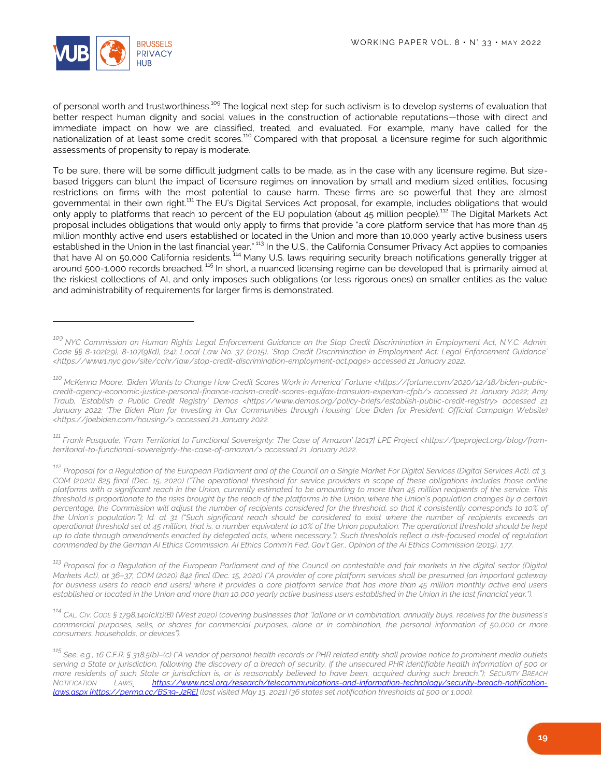

 $\overline{a}$ 

of personal worth and trustworthiness.<sup>109</sup> The logical next step for such activism is to develop systems of evaluation that better respect human dignity and social values in the construction of actionable reputations—those with direct and immediate impact on how we are classified, treated, and evaluated. For example, many have called for the nationalization of at least some credit scores.<sup>110</sup> Compared with that proposal, a licensure regime for such algorithmic assessments of propensity to repay is moderate.

To be sure, there will be some difficult judgment calls to be made, as in the case with any licensure regime. But sizebased triggers can blunt the impact of licensure regimes on innovation by small and medium sized entities, focusing restrictions on firms with the most potential to cause harm. These firms are so powerful that they are almost governmental in their own right.<sup>111</sup> The EU's Digital Services Act proposal, for example, includes obligations that would only apply to platforms that reach 10 percent of the EU population (about 45 million people).<sup>112</sup> The Digital Markets Act proposal includes obligations that would only apply to firms that provide "a core platform service that has more than 45 million monthly active end users established or located in the Union and more than 10,000 yearly active business users established in the Union in the last financial year." <sup>113</sup> In the U.S., the California Consumer Privacy Act applies to companies that have AI on 50,000 California residents. <sup>114</sup> Many U.S. laws requiring security breach notifications generally trigger at around 500-1,000 records breached. <sup>115</sup> In short, a nuanced licensing regime can be developed that is primarily aimed at the riskiest collections of AI, and only imposes such obligations (or less rigorous ones) on smaller entities as the value and administrability of requirements for larger firms is demonstrated.

*<sup>111</sup> Frank Pasquale, 'From Territorial to Functional Sovereignty: The Case of Amazon' [2017] LPE Project <https://lpeproject.org/blog/fromterritorial-to-functional-sovereignty-the-case-of-amazon/> accessed 21 January 2022.*

*<sup>112</sup> Proposal for a Regulation of the European Parliament and of the Council on a Single Market For Digital Services (Digital Services Act), at 3, COM (2020) 825 final (Dec. 15, 2020) ("The operational threshold for service providers in scope of these obligations includes those online platforms with a significant reach in the Union, currently estimated to be amounting to more than 45 million recipients of the service. This threshold is proportionate to the risks brought by the reach of the platforms in the Union; where the Union's population changes by a certain*  percentage, the Commission will adjust the number of recipients considered for the threshold, so that it consistently corresponds to 10% of *the Union's population."); Id. at 31 ("Such significant reach should be considered to exist where the number of recipients exceeds an operational threshold set at 45 million, that is, a number equivalent to 10% of the Union population. The operational threshold should be kept up to date through amendments enacted by delegated acts, where necessary."). Such thresholds reflect a risk-focused model of regulation commended by the German AI Ethics Commission. AI Ethics Comm'n Fed. Gov't Ger., Opinion of the AI Ethics Commission (2019), 177.* 

<sup>113</sup> Proposal for a Regulation of the European Parliament and of the Council on contestable and fair markets in the digital sector (Digital *Markets Act), at 36–37, COM (2020) 842 final (Dec. 15, 2020) ("A provider of core platform services shall be presumed [an important gateway for business users to reach end users] where it provides a core platform service that has more than 45 million monthly active end users established or located in the Union and more than 10,000 yearly active business users established in the Union in the last financial year.").*

<sup>114</sup> CAL. CIV. CODE § 1798.140(c)(1)(B) (West 2020) (covering businesses that "[a]lone or in combination, annually buys, receives for the business's *commercial purposes, sells, or shares for commercial purposes, alone or in combination, the personal information of 50,000 or more consumers, households, or devices").*

*<sup>109</sup> NYC Commission on Human Rights Legal Enforcement Guidance on the Stop Credit Discrimination in Employment Act, N.Y.C. Admin. Code §§ 8-102(29), 8-107(9)(d), (24); Local Law No. 37 (2015), 'Stop Credit Discrimination in Employment Act: Legal Enforcement Guidance' <https://www1.nyc.gov/site/cchr/law/stop-credit-discrimination-employment-act.page> accessed 21 January 2022.*

<sup>&</sup>lt;sup>110</sup> McKenna Moore, 'Biden Wants to Change How Credit Scores Work in America' Fortune <https://fortune.com/2020/12/18/biden-public*credit-agency-economic-justice-personal-finance-racism-credit-scores-equifax-transuion-experian-cfpb/> accessed 21 January 2022; Amy Traub, 'Establish a Public Credit Registry' Demos <https://www.demos.org/policy-briefs/establish-public-credit-registry> accessed 21 January 2022; 'The Biden Plan for Investing in Our Communities through Housing' (Joe Biden for President: Official Campaign Website) <https://joebiden.com/housing/> accessed 21 January 2022.*

*<sup>115</sup> See, e.g., 16 C.F.R. § 318.5(b)–(c) ("A vendor of personal health records or PHR related entity shall provide notice to prominent media outlets serving a State or jurisdiction, following the discovery of a breach of security, if the unsecured PHR identifiable health information of 500 or more residents of such State or jurisdiction is, or is reasonably believed to have been, acquired during such breach."); SECURITY BREACH NOTIFICATION LAWS, [https://www.ncsl.org/research/telecommunications-and-information-technology/security-breach-notification](https://www.ncsl.org/research/telecommunications-and-information-technology/security-breach-notification-laws.aspx)[laws.aspx](https://www.ncsl.org/research/telecommunications-and-information-technology/security-breach-notification-laws.aspx) [\[https://perma.cc/BS39-J2RE\]](https://perma.cc/BS39-J2RE) (last visited May 13, 2021) (36 states set notification thresholds at 500 or 1,000).*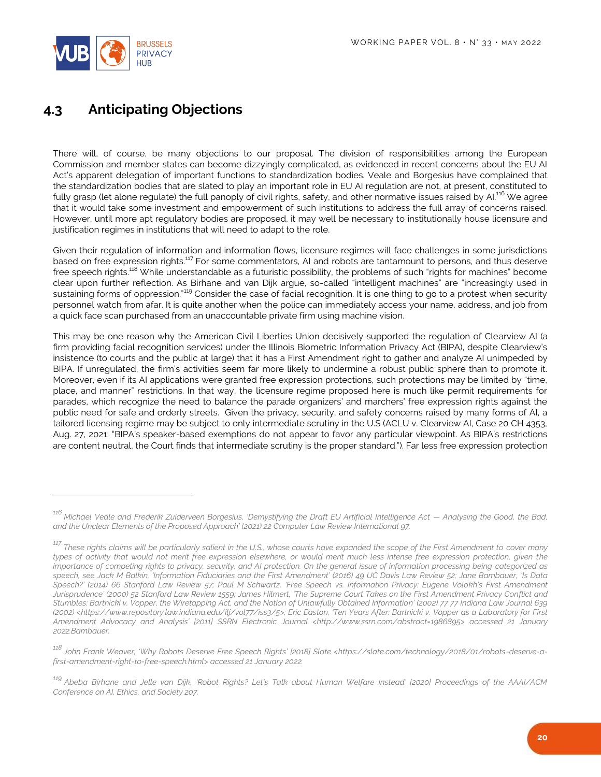

 $\overline{a}$ 

## <span id="page-19-0"></span>**4.3 Anticipating Objections**

There will, of course, be many objections to our proposal. The division of responsibilities among the European Commission and member states can become dizzyingly complicated, as evidenced in recent concerns about the EU AI Act's apparent delegation of important functions to standardization bodies. Veale and Borgesius have complained that the standardization bodies that are slated to play an important role in EU AI regulation are not, at present, constituted to fully grasp (let alone regulate) the full panoply of civil rights, safety, and other normative issues raised by AI.<sup>116</sup> We agree that it would take some investment and empowerment of such institutions to address the full array of concerns raised. However, until more apt regulatory bodies are proposed, it may well be necessary to institutionally house licensure and justification regimes in institutions that will need to adapt to the role.

Given their regulation of information and information flows, licensure regimes will face challenges in some jurisdictions based on free expression rights.<sup>117</sup> For some commentators, AI and robots are tantamount to persons, and thus deserve free speech rights.<sup>118</sup> While understandable as a futuristic possibility, the problems of such "rights for machines" become clear upon further reflection. As Birhane and van Dijk argue, so-called "intelligent machines" are "increasingly used in sustaining forms of oppression."<sup>119</sup> Consider the case of facial recognition. It is one thing to go to a protest when security personnel watch from afar. It is quite another when the police can immediately access your name, address, and job from a quick face scan purchased from an unaccountable private firm using machine vision.

This may be one reason why the American Civil Liberties Union decisively supported the regulation of Clearview AI (a firm providing facial recognition services) under the Illinois Biometric Information Privacy Act (BIPA), despite Clearview's insistence (to courts and the public at large) that it has a First Amendment right to gather and analyze AI unimpeded by BIPA. If unregulated, the firm's activities seem far more likely to undermine a robust public sphere than to promote it. Moreover, even if its AI applications were granted free expression protections, such protections may be limited by "time, place, and manner" restrictions. In that way, the licensure regime proposed here is much like permit requirements for parades, which recognize the need to balance the parade organizers' and marchers' free expression rights against the public need for safe and orderly streets. Given the privacy, security, and safety concerns raised by many forms of AI, a tailored licensing regime may be subject to only intermediate scrutiny in the U.S (ACLU v. Clearview AI, Case 20 CH 4353, Aug. 27, 2021: "BIPA's speaker-based exemptions do not appear to favor any particular viewpoint. As BIPA's restrictions are content neutral, the Court finds that intermediate scrutiny is the proper standard."). Far less free expression protection

*<sup>116</sup> Michael Veale and Frederik Zuiderveen Borgesius, 'Demystifying the Draft EU Artificial Intelligence Act — Analysing the Good, the Bad, and the Unclear Elements of the Proposed Approach' (2021) 22 Computer Law Review International 97.*

*<sup>117</sup> These rights claims will be particularly salient in the U.S., whose courts have expanded the scope of the First Amendment to cover many types of activity that would not merit free expression elsewhere, or would merit much less intense free expression protection, given the importance of competing rights to privacy, security, and AI protection. On the general issue of information processing being categorized as speech, see Jack M Balkin, 'Information Fiduciaries and the First Amendment' (2016) 49 UC Davis Law Review 52; Jane Bambauer, 'Is Data Speech?' (2014) 66 Stanford Law Review 57; Paul M Schwartz, 'Free Speech vs. Information Privacy: Eugene Volokh's First Amendment Jurisprudence' (2000) 52 Stanford Law Review 1559; James Hilmert, 'The Supreme Court Takes on the First Amendment Privacy Conflict and Stumbles: Bartnicki v. Vopper, the Wiretapping Act, and the Notion of Unlawfully Obtained Information' (2002) 77 77 Indiana Law Journal 639 (2002) <https://www.repository.law.indiana.edu/ilj/vol77/iss3/5>; Eric Easton, 'Ten Years After: Bartnicki v. Vopper as a Laboratory for First Amendment Advocacy and Analysis' [2011] SSRN Electronic Journal <http://www.ssrn.com/abstract=1986895> accessed 21 January 2022.Bambauer.*

*<sup>118</sup> John Frank Weaver, 'Why Robots Deserve Free Speech Rights' [2018] Slate <https://slate.com/technology/2018/01/robots-deserve-afirst-amendment-right-to-free-speech.html> accessed 21 January 2022.*

*<sup>119</sup> Abeba Birhane and Jelle van Dijk, 'Robot Rights? Let's Talk about Human Welfare Instead' [2020] Proceedings of the AAAI/ACM Conference on AI, Ethics, and Society 207.*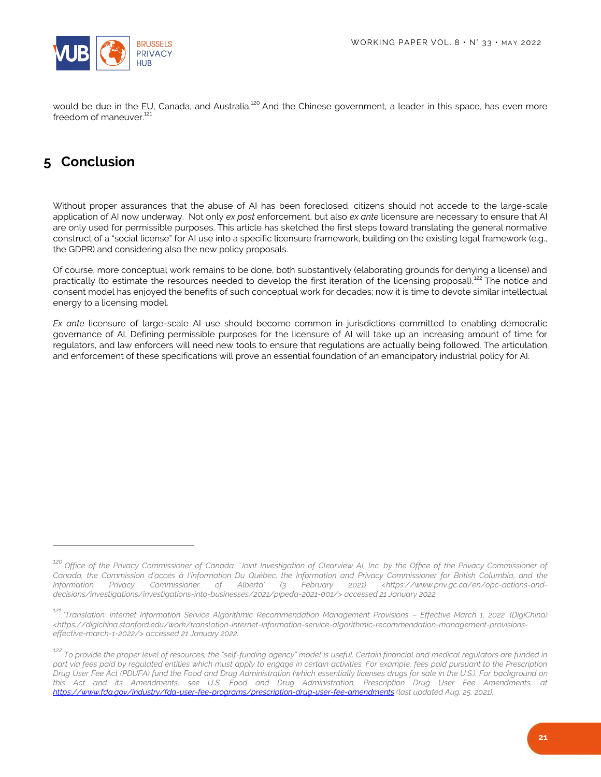

would be due in the EU, Canada, and Australia.<sup>120</sup> And the Chinese government, a leader in this space, has even more freedom of maneuver.<sup>121</sup>

## <span id="page-20-0"></span>**5 Conclusion**

 $\overline{a}$ 

Without proper assurances that the abuse of AI has been foreclosed, citizens should not accede to the large-scale application of AI now underway. Not only *ex post* enforcement, but also *ex ante* licensure are necessary to ensure that AI are only used for permissible purposes. This article has sketched the first steps toward translating the general normative construct of a "social license" for AI use into a specific licensure framework, building on the existing legal framework (e.g., the GDPR) and considering also the new policy proposals.

Of course, more conceptual work remains to be done, both substantively (elaborating grounds for denying a license) and practically (to estimate the resources needed to develop the first iteration of the licensing proposal).<sup>122</sup> The notice and consent model has enjoyed the benefits of such conceptual work for decades; now it is time to devote similar intellectual energy to a licensing model.

*Ex ante* licensure of large-scale AI use should become common in jurisdictions committed to enabling democratic governance of AI. Defining permissible purposes for the licensure of AI will take up an increasing amount of time for regulators, and law enforcers will need new tools to ensure that regulations are actually being followed. The articulation and enforcement of these specifications will prove an essential foundation of an emancipatory industrial policy for AI.

*<sup>120</sup> Office of the Privacy Commissioner of Canada, 'Joint Investigation of Clearview AI, Inc. by the Office of the Privacy Commissioner of Canada, the Commission d'accès à l'information Du Québec, the Information and Privacy Commissioner for British Columbia, and the Information Privacy Commissioner of Alberta' (3 February 2021) <https://www.priv.gc.ca/en/opc-actions-anddecisions/investigations/investigations-into-businesses/2021/pipeda-2021-001/> accessed 21 January 2022.*

*<sup>121</sup> 'Translation: Internet Information Service Algorithmic Recommendation Management Provisions – Effective March 1, 2022' (DigiChina) <https://digichina.stanford.edu/work/translation-internet-information-service-algorithmic-recommendation-management-provisionseffective-march-1-2022/> accessed 21 January 2022.*

*<sup>122</sup> To provide the proper level of resources, the "self-funding agency" model is useful. Certain financial and medical regulators are funded in part via fees paid by regulated entities which must apply to engage in certain activities. For example, fees paid pursuant to the Prescription Drug User Fee Act (PDUFA) fund the Food and Drug Administration (which essentially licenses drugs for sale in the U.S.). For background on this Act and its Amendments, see U.S. Food and Drug Administration, Prescription Drug User Fee Amendments, at <https://www.fda.gov/industry/fda-user-fee-programs/prescription-drug-user-fee-amendments> (last updated Aug. 25, 2021).*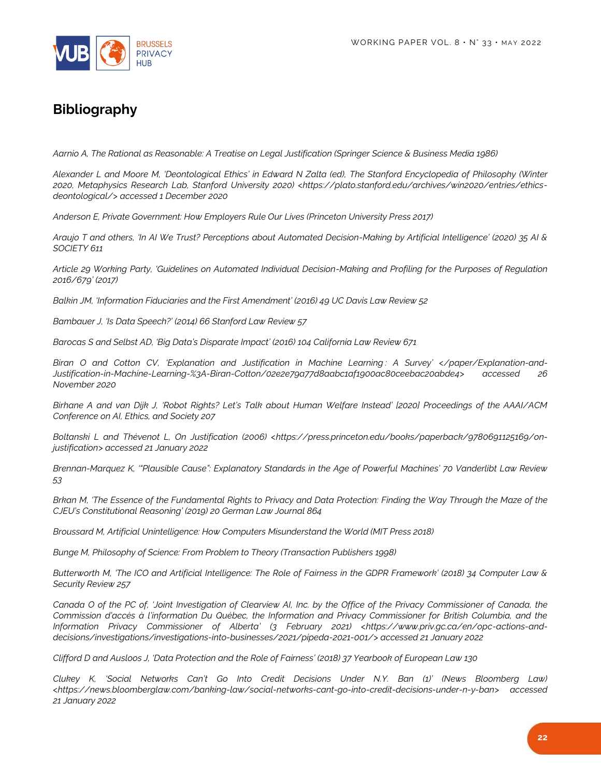

## **Bibliography**

*Aarnio A, The Rational as Reasonable: A Treatise on Legal Justification (Springer Science & Business Media 1986)*

Alexander L and Moore M, 'Deontological Ethics' in Edward N Zalta (ed), The Stanford Encyclopedia of Philosophy (Winter *2020, Metaphysics Research Lab, Stanford University 2020) <https://plato.stanford.edu/archives/win2020/entries/ethicsdeontological/> accessed 1 December 2020*

*Anderson E, Private Government: How Employers Rule Our Lives (Princeton University Press 2017)*

*Araujo T and others, 'In AI We Trust? Perceptions about Automated Decision-Making by Artificial Intelligence' (2020) 35 AI & SOCIETY 611*

*Article 29 Working Party, 'Guidelines on Automated Individual Decision-Making and Profiling for the Purposes of Regulation 2016/679' (2017)*

*Balkin JM, 'Information Fiduciaries and the First Amendment' (2016) 49 UC Davis Law Review 52*

*Bambauer J, 'Is Data Speech?' (2014) 66 Stanford Law Review 57*

*Barocas S and Selbst AD, 'Big Data's Disparate Impact' (2016) 104 California Law Review 671*

*Biran O and Cotton CV, 'Explanation and Justification in Machine Learning : A Survey' </paper/Explanation-and-Justification-in-Machine-Learning-%3A-Biran-Cotton/02e2e79a77d8aabc1af1900ac80ceebac20abde4> accessed 26 November 2020*

*Birhane A and van Dijk J, 'Robot Rights? Let's Talk about Human Welfare Instead' [2020] Proceedings of the AAAI/ACM Conference on AI, Ethics, and Society 207*

*Boltanski L and Thévenot L, On Justification (2006) <https://press.princeton.edu/books/paperback/9780691125169/onjustification> accessed 21 January 2022*

*Brennan-Marquez K, '"Plausible Cause": Explanatory Standards in the Age of Powerful Machines' 70 Vanderlibt Law Review 53*

*Brkan M, 'The Essence of the Fundamental Rights to Privacy and Data Protection: Finding the Way Through the Maze of the CJEU's Constitutional Reasoning' (2019) 20 German Law Journal 864*

*Broussard M, Artificial Unintelligence: How Computers Misunderstand the World (MIT Press 2018)*

*Bunge M, Philosophy of Science: From Problem to Theory (Transaction Publishers 1998)*

*Butterworth M, 'The ICO and Artificial Intelligence: The Role of Fairness in the GDPR Framework' (2018) 34 Computer Law & Security Review 257*

*Canada O of the PC of, 'Joint Investigation of Clearview AI, Inc. by the Office of the Privacy Commissioner of Canada, the Commission d'accès à l'information Du Québec, the Information and Privacy Commissioner for British Columbia, and the Information Privacy Commissioner of Alberta' (3 February 2021) <https://www.priv.gc.ca/en/opc-actions-anddecisions/investigations/investigations-into-businesses/2021/pipeda-2021-001/> accessed 21 January 2022*

*Clifford D and Ausloos J, 'Data Protection and the Role of Fairness' (2018) 37 Yearbook of European Law 130*

*Clukey K, 'Social Networks Can't Go Into Credit Decisions Under N.Y. Ban (1)' (News Bloomberg Law) <https://news.bloomberglaw.com/banking-law/social-networks-cant-go-into-credit-decisions-under-n-y-ban> accessed 21 January 2022*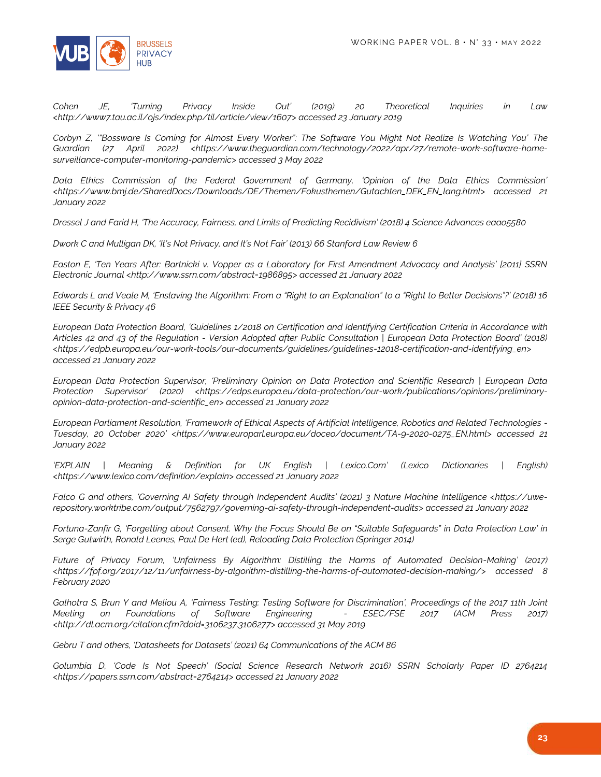

*Cohen JE, 'Turning Privacy Inside Out' (2019) 20 Theoretical Inquiries in Law <http://www7.tau.ac.il/ojs/index.php/til/article/view/1607> accessed 23 January 2019*

*Corbyn Z, '"Bossware Is Coming for Almost Every Worker": The Software You Might Not Realize Is Watching You' The*  Guardian (27 April 2022) <https://www.theguardian.com/technology/2022/apr/27/remote-work-software-home*surveillance-computer-monitoring-pandemic> accessed 3 May 2022*

*Data Ethics Commission of the Federal Government of Germany, 'Opinion of the Data Ethics Commission' <https://www.bmj.de/SharedDocs/Downloads/DE/Themen/Fokusthemen/Gutachten\_DEK\_EN\_lang.html> accessed 21 January 2022*

*Dressel J and Farid H, 'The Accuracy, Fairness, and Limits of Predicting Recidivism' (2018) 4 Science Advances eaao5580*

*Dwork C and Mulligan DK, 'It's Not Privacy, and It's Not Fair' (2013) 66 Stanford Law Review 6*

*Easton E, 'Ten Years After: Bartnicki v. Vopper as a Laboratory for First Amendment Advocacy and Analysis' [2011] SSRN Electronic Journal <http://www.ssrn.com/abstract=1986895> accessed 21 January 2022*

*Edwards L and Veale M, 'Enslaving the Algorithm: From a "Right to an Explanation" to a "Right to Better Decisions"?' (2018) 16 IEEE Security & Privacy 46*

*European Data Protection Board, 'Guidelines 1/2018 on Certification and Identifying Certification Criteria in Accordance with Articles 42 and 43 of the Regulation - Version Adopted after Public Consultation | European Data Protection Board' (2018) <https://edpb.europa.eu/our-work-tools/our-documents/guidelines/guidelines-12018-certification-and-identifying\_en> accessed 21 January 2022*

*European Data Protection Supervisor, 'Preliminary Opinion on Data Protection and Scientific Research | European Data Protection Supervisor' (2020) <https://edps.europa.eu/data-protection/our-work/publications/opinions/preliminaryopinion-data-protection-and-scientific\_en> accessed 21 January 2022*

*European Parliament Resolution, 'Framework of Ethical Aspects of Artificial Intelligence, Robotics and Related Technologies - Tuesday, 20 October 2020' <https://www.europarl.europa.eu/doceo/document/TA-9-2020-0275\_EN.html> accessed 21 January 2022*

*'EXPLAIN | Meaning & Definition for UK English | Lexico.Com' (Lexico Dictionaries | English) <https://www.lexico.com/definition/explain> accessed 21 January 2022*

*Falco G and others, 'Governing AI Safety through Independent Audits' (2021) 3 Nature Machine Intelligence <https://uwerepository.worktribe.com/output/7562797/governing-ai-safety-through-independent-audits> accessed 21 January 2022*

*Fortuna-Zanfir G, 'Forgetting about Consent. Why the Focus Should Be on "Suitable Safeguards" in Data Protection Law' in Serge Gutwirth, Ronald Leenes, Paul De Hert (ed), Reloading Data Protection (Springer 2014)*

*Future of Privacy Forum, 'Unfairness By Algorithm: Distilling the Harms of Automated Decision-Making' (2017) <https://fpf.org/2017/12/11/unfairness-by-algorithm-distilling-the-harms-of-automated-decision-making/> accessed 8 February 2020*

Galhotra S, Brun Y and Meliou A, 'Fairness Testing: Testing Software for Discrimination', Proceedings of the 2017 11th Joint *Meeting on Foundations of Software Engineering - ESEC/FSE 2017 (ACM Press 2017) <http://dl.acm.org/citation.cfm?doid=3106237.3106277> accessed 31 May 2019*

*Gebru T and others, 'Datasheets for Datasets' (2021) 64 Communications of the ACM 86*

*Golumbia D, 'Code Is Not Speech' (Social Science Research Network 2016) SSRN Scholarly Paper ID 2764214 <https://papers.ssrn.com/abstract=2764214> accessed 21 January 2022*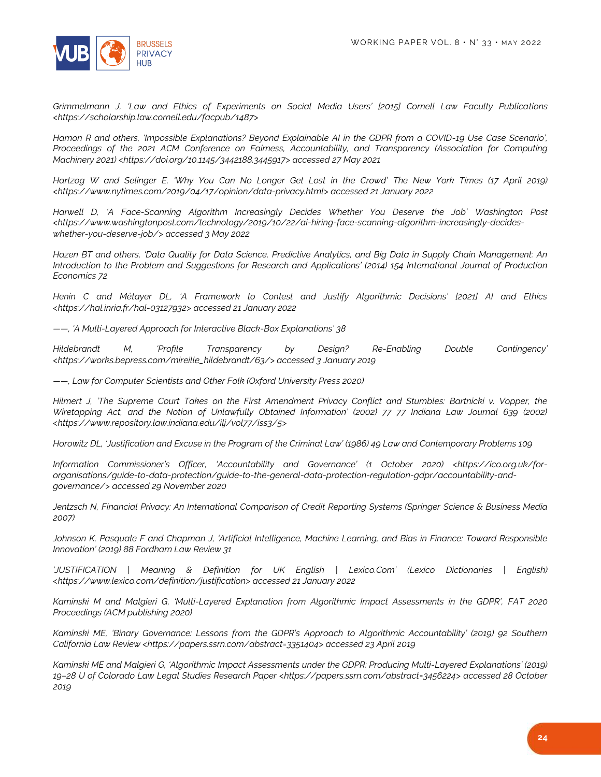

*Grimmelmann J, 'Law and Ethics of Experiments on Social Media Users' [2015] Cornell Law Faculty Publications <https://scholarship.law.cornell.edu/facpub/1487>*

*Hamon R and others, 'Impossible Explanations? Beyond Explainable AI in the GDPR from a COVID-19 Use Case Scenario', Proceedings of the 2021 ACM Conference on Fairness, Accountability, and Transparency (Association for Computing Machinery 2021) <https://doi.org/10.1145/3442188.3445917> accessed 27 May 2021*

*Hartzog W and Selinger E, 'Why You Can No Longer Get Lost in the Crowd' The New York Times (17 April 2019) <https://www.nytimes.com/2019/04/17/opinion/data-privacy.html> accessed 21 January 2022*

*Harwell D, 'A Face-Scanning Algorithm Increasingly Decides Whether You Deserve the Job' Washington Post <https://www.washingtonpost.com/technology/2019/10/22/ai-hiring-face-scanning-algorithm-increasingly-decideswhether-you-deserve-job/> accessed 3 May 2022*

*Hazen BT and others, 'Data Quality for Data Science, Predictive Analytics, and Big Data in Supply Chain Management: An Introduction to the Problem and Suggestions for Research and Applications' (2014) 154 International Journal of Production Economics 72*

*Henin C and Métayer DL, 'A Framework to Contest and Justify Algorithmic Decisions' [2021] AI and Ethics <https://hal.inria.fr/hal-03127932> accessed 21 January 2022*

*——, 'A Multi-Layered Approach for Interactive Black-Box Explanations' 38*

*Hildebrandt M, 'Profile Transparency by Design? Re-Enabling Double Contingency' <https://works.bepress.com/mireille\_hildebrandt/63/> accessed 3 January 2019*

*——, Law for Computer Scientists and Other Folk (Oxford University Press 2020)*

*Hilmert J, 'The Supreme Court Takes on the First Amendment Privacy Conflict and Stumbles: Bartnicki v. Vopper, the Wiretapping Act, and the Notion of Unlawfully Obtained Information' (2002) 77 77 Indiana Law Journal 639 (2002) <https://www.repository.law.indiana.edu/ilj/vol77/iss3/5>*

*Horowitz DL, 'Justification and Excuse in the Program of the Criminal Law' (1986) 49 Law and Contemporary Problems 109*

*Information Commissioner's Officer, 'Accountability and Governance' (1 October 2020) <https://ico.org.uk/fororganisations/guide-to-data-protection/guide-to-the-general-data-protection-regulation-gdpr/accountability-andgovernance/> accessed 29 November 2020*

*Jentzsch N, Financial Privacy: An International Comparison of Credit Reporting Systems (Springer Science & Business Media 2007)*

*Johnson K, Pasquale F and Chapman J, 'Artificial Intelligence, Machine Learning, and Bias in Finance: Toward Responsible Innovation' (2019) 88 Fordham Law Review 31*

*'JUSTIFICATION | Meaning & Definition for UK English | Lexico.Com' (Lexico Dictionaries | English) <https://www.lexico.com/definition/justification> accessed 21 January 2022*

*Kaminski M and Malgieri G, 'Multi-Layered Explanation from Algorithmic Impact Assessments in the GDPR', FAT 2020 Proceedings (ACM publishing 2020)*

*Kaminski ME, 'Binary Governance: Lessons from the GDPR's Approach to Algorithmic Accountability' (2019) 92 Southern California Law Review <https://papers.ssrn.com/abstract=3351404> accessed 23 April 2019*

*Kaminski ME and Malgieri G, 'Algorithmic Impact Assessments under the GDPR: Producing Multi-Layered Explanations' (2019) 19–28 U of Colorado Law Legal Studies Research Paper <https://papers.ssrn.com/abstract=3456224> accessed 28 October 2019*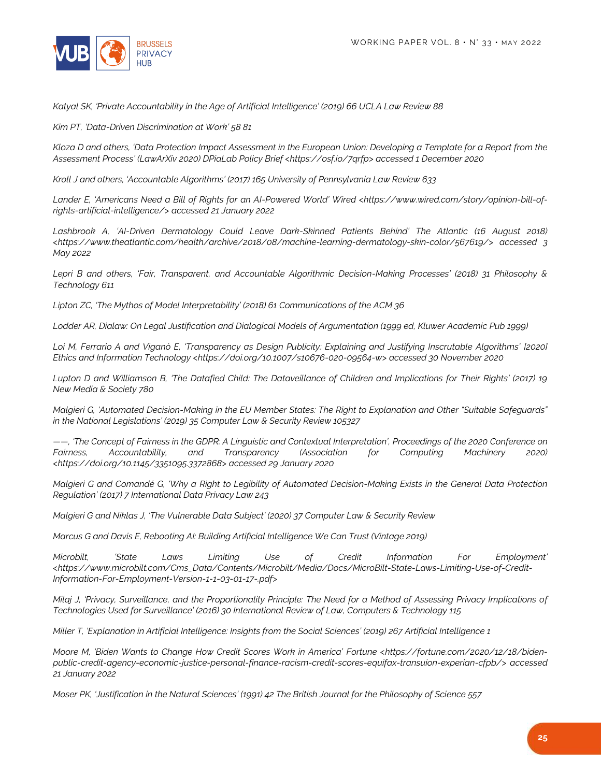

*Katyal SK, 'Private Accountability in the Age of Artificial Intelligence' (2019) 66 UCLA Law Review 88*

*Kim PT, 'Data-Driven Discrimination at Work' 58 81*

*Kloza D and others, 'Data Protection Impact Assessment in the European Union: Developing a Template for a Report from the Assessment Process' (LawArXiv 2020) DPiaLab Policy Brief <https://osf.io/7qrfp> accessed 1 December 2020*

*Kroll J and others, 'Accountable Algorithms' (2017) 165 University of Pennsylvania Law Review 633*

*Lander E, 'Americans Need a Bill of Rights for an AI-Powered World' Wired <https://www.wired.com/story/opinion-bill-ofrights-artificial-intelligence/> accessed 21 January 2022*

*Lashbrook A, 'AI-Driven Dermatology Could Leave Dark-Skinned Patients Behind' The Atlantic (16 August 2018) <https://www.theatlantic.com/health/archive/2018/08/machine-learning-dermatology-skin-color/567619/> accessed 3 May 2022*

*Lepri B and others, 'Fair, Transparent, and Accountable Algorithmic Decision-Making Processes' (2018) 31 Philosophy & Technology 611*

*Lipton ZC, 'The Mythos of Model Interpretability' (2018) 61 Communications of the ACM 36*

*Lodder AR, Dialaw: On Legal Justification and Dialogical Models of Argumentation (1999 ed, Kluwer Academic Pub 1999)*

Loi M, Ferrario A and Viganò E, 'Transparency as Design Publicity: Explaining and Justifying Inscrutable Algorithms' [2020] *Ethics and Information Technology <https://doi.org/10.1007/s10676-020-09564-w> accessed 30 November 2020*

*Lupton D and Williamson B, 'The Datafied Child: The Dataveillance of Children and Implications for Their Rights' (2017) 19 New Media & Society 780*

*Malgieri G, 'Automated Decision-Making in the EU Member States: The Right to Explanation and Other "Suitable Safeguards" in the National Legislations' (2019) 35 Computer Law & Security Review 105327*

*——, 'The Concept of Fairness in the GDPR: A Linguistic and Contextual Interpretation', Proceedings of the 2020 Conference on Fairness, Accountability, and Transparency (Association for Computing Machinery 2020) <https://doi.org/10.1145/3351095.3372868> accessed 29 January 2020*

*Malgieri G and Comandé G, 'Why a Right to Legibility of Automated Decision-Making Exists in the General Data Protection Regulation' (2017) 7 International Data Privacy Law 243*

*Malgieri G and Niklas J, 'The Vulnerable Data Subject' (2020) 37 Computer Law & Security Review*

*Marcus G and Davis E, Rebooting AI: Building Artificial Intelligence We Can Trust (Vintage 2019)*

*Microbilt, 'State Laws Limiting Use of Credit Information For Employment' <https://www.microbilt.com/Cms\_Data/Contents/Microbilt/Media/Docs/MicroBilt-State-Laws-Limiting-Use-of-Credit-Information-For-Employment-Version-1-1-03-01-17-.pdf>*

*Milaj J, 'Privacy, Surveillance, and the Proportionality Principle: The Need for a Method of Assessing Privacy Implications of Technologies Used for Surveillance' (2016) 30 International Review of Law, Computers & Technology 115*

*Miller T, 'Explanation in Artificial Intelligence: Insights from the Social Sciences' (2019) 267 Artificial Intelligence 1*

Moore M, 'Biden Wants to Change How Credit Scores Work in America' Fortune <https://fortune.com/2020/12/18/biden*public-credit-agency-economic-justice-personal-finance-racism-credit-scores-equifax-transuion-experian-cfpb/> accessed 21 January 2022*

*Moser PK, 'Justification in the Natural Sciences' (1991) 42 The British Journal for the Philosophy of Science 557*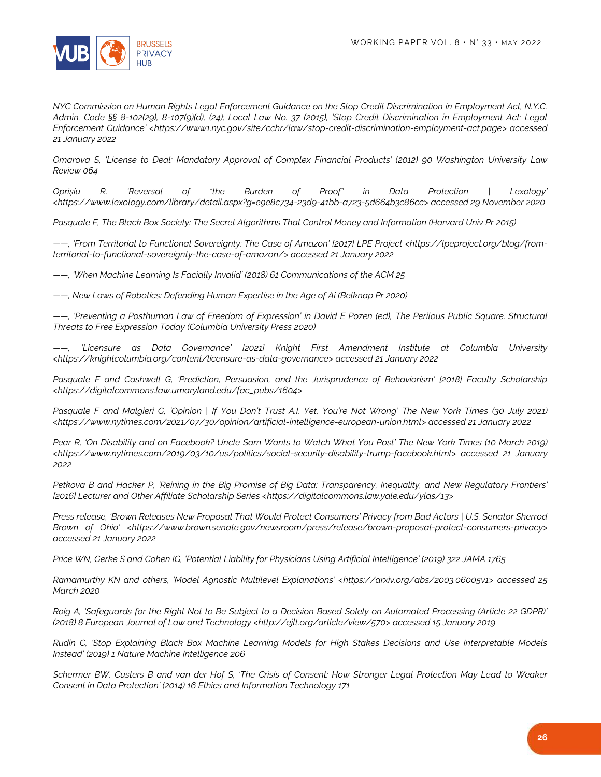

*NYC Commission on Human Rights Legal Enforcement Guidance on the Stop Credit Discrimination in Employment Act, N.Y.C. Admin. Code §§ 8-102(29), 8-107(9)(d), (24); Local Law No. 37 (2015), 'Stop Credit Discrimination in Employment Act: Legal Enforcement Guidance' <https://www1.nyc.gov/site/cchr/law/stop-credit-discrimination-employment-act.page> accessed 21 January 2022*

*Omarova S, 'License to Deal: Mandatory Approval of Complex Financial Products' (2012) 90 Washington University Law Review 064*

*Oprișiu R, 'Reversal of "the Burden of Proof" in Data Protection | Lexology' <https://www.lexology.com/library/detail.aspx?g=e9e8c734-23d9-41bb-a723-5d664b3c86cc> accessed 29 November 2020*

*Pasquale F, The Black Box Society: The Secret Algorithms That Control Money and Information (Harvard Univ Pr 2015)*

*——, 'From Territorial to Functional Sovereignty: The Case of Amazon' [2017] LPE Project <https://lpeproject.org/blog/fromterritorial-to-functional-sovereignty-the-case-of-amazon/> accessed 21 January 2022*

*——, 'When Machine Learning Is Facially Invalid' (2018) 61 Communications of the ACM 25*

*——, New Laws of Robotics: Defending Human Expertise in the Age of Ai (Belknap Pr 2020)*

*——, 'Preventing a Posthuman Law of Freedom of Expression' in David E Pozen (ed), The Perilous Public Square: Structural Threats to Free Expression Today (Columbia University Press 2020)*

*——, 'Licensure as Data Governance' [2021] Knight First Amendment Institute at Columbia University <https://knightcolumbia.org/content/licensure-as-data-governance> accessed 21 January 2022*

Pasquale F and Cashwell G, 'Prediction, Persuasion, and the Jurisprudence of Behaviorism' [2018] Faculty Scholarship *<https://digitalcommons.law.umaryland.edu/fac\_pubs/1604>*

*Pasquale F and Malgieri G, 'Opinion | If You Don't Trust A.I. Yet, You're Not Wrong' The New York Times (30 July 2021) <https://www.nytimes.com/2021/07/30/opinion/artificial-intelligence-european-union.html> accessed 21 January 2022*

*Pear R, 'On Disability and on Facebook? Uncle Sam Wants to Watch What You Post' The New York Times (10 March 2019) <https://www.nytimes.com/2019/03/10/us/politics/social-security-disability-trump-facebook.html> accessed 21 January 2022*

*Petkova B and Hacker P, 'Reining in the Big Promise of Big Data: Transparency, Inequality, and New Regulatory Frontiers' [2016] Lecturer and Other Affiliate Scholarship Series <https://digitalcommons.law.yale.edu/ylas/13>*

*Press release, 'Brown Releases New Proposal That Would Protect Consumers' Privacy from Bad Actors | U.S. Senator Sherrod Brown of Ohio' <https://www.brown.senate.gov/newsroom/press/release/brown-proposal-protect-consumers-privacy> accessed 21 January 2022*

*Price WN, Gerke S and Cohen IG, 'Potential Liability for Physicians Using Artificial Intelligence' (2019) 322 JAMA 1765*

*Ramamurthy KN and others, 'Model Agnostic Multilevel Explanations' <https://arxiv.org/abs/2003.06005v1> accessed 25 March 2020*

*Roig A, 'Safeguards for the Right Not to Be Subject to a Decision Based Solely on Automated Processing (Article 22 GDPR)' (2018) 8 European Journal of Law and Technology <http://ejlt.org/article/view/570> accessed 15 January 2019*

*Rudin C, 'Stop Explaining Black Box Machine Learning Models for High Stakes Decisions and Use Interpretable Models Instead' (2019) 1 Nature Machine Intelligence 206*

*Schermer BW, Custers B and van der Hof S, 'The Crisis of Consent: How Stronger Legal Protection May Lead to Weaker Consent in Data Protection' (2014) 16 Ethics and Information Technology 171*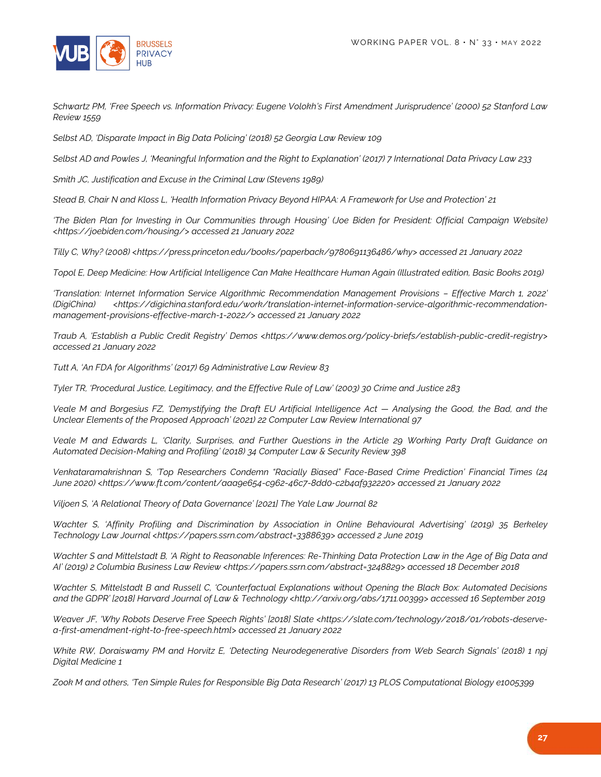

*Schwartz PM, 'Free Speech vs. Information Privacy: Eugene Volokh's First Amendment Jurisprudence' (2000) 52 Stanford Law Review 1559*

*Selbst AD, 'Disparate Impact in Big Data Policing' (2018) 52 Georgia Law Review 109*

*Selbst AD and Powles J, 'Meaningful Information and the Right to Explanation' (2017) 7 International Data Privacy Law 233*

*Smith JC, Justification and Excuse in the Criminal Law (Stevens 1989)*

*Stead B, Chair N and Kloss L, 'Health Information Privacy Beyond HIPAA: A Framework for Use and Protection' 21*

*'The Biden Plan for Investing in Our Communities through Housing' (Joe Biden for President: Official Campaign Website) <https://joebiden.com/housing/> accessed 21 January 2022*

*Tilly C, Why? (2008) <https://press.princeton.edu/books/paperback/9780691136486/why> accessed 21 January 2022*

*Topol E, Deep Medicine: How Artificial Intelligence Can Make Healthcare Human Again (Illustrated edition, Basic Books 2019)*

*'Translation: Internet Information Service Algorithmic Recommendation Management Provisions – Effective March 1, 2022' (DigiChina) <https://digichina.stanford.edu/work/translation-internet-information-service-algorithmic-recommendationmanagement-provisions-effective-march-1-2022/> accessed 21 January 2022*

*Traub A, 'Establish a Public Credit Registry' Demos <https://www.demos.org/policy-briefs/establish-public-credit-registry> accessed 21 January 2022*

*Tutt A, 'An FDA for Algorithms' (2017) 69 Administrative Law Review 83*

*Tyler TR, 'Procedural Justice, Legitimacy, and the Effective Rule of Law' (2003) 30 Crime and Justice 283*

*Veale M and Borgesius FZ, 'Demystifying the Draft EU Artificial Intelligence Act — Analysing the Good, the Bad, and the Unclear Elements of the Proposed Approach' (2021) 22 Computer Law Review International 97*

*Veale M and Edwards L, 'Clarity, Surprises, and Further Questions in the Article 29 Working Party Draft Guidance on Automated Decision-Making and Profiling' (2018) 34 Computer Law & Security Review 398*

*Venkataramakrishnan S, 'Top Researchers Condemn "Racially Biased" Face-Based Crime Prediction' Financial Times (24 June 2020) <https://www.ft.com/content/aaa9e654-c962-46c7-8dd0-c2b4af932220> accessed 21 January 2022*

*Viljoen S, 'A Relational Theory of Data Governance' [2021] The Yale Law Journal 82*

*Wachter S, 'Affinity Profiling and Discrimination by Association in Online Behavioural Advertising' (2019) 35 Berkeley Technology Law Journal <https://papers.ssrn.com/abstract=3388639> accessed 2 June 2019*

*Wachter S and Mittelstadt B, 'A Right to Reasonable Inferences: Re-Thinking Data Protection Law in the Age of Big Data and AI' (2019) 2 Columbia Business Law Review <https://papers.ssrn.com/abstract=3248829> accessed 18 December 2018*

*Wachter S, Mittelstadt B and Russell C, 'Counterfactual Explanations without Opening the Black Box: Automated Decisions and the GDPR' [2018] Harvard Journal of Law & Technology <http://arxiv.org/abs/1711.00399> accessed 16 September 2019*

*Weaver JF, 'Why Robots Deserve Free Speech Rights' [2018] Slate <https://slate.com/technology/2018/01/robots-deservea-first-amendment-right-to-free-speech.html> accessed 21 January 2022*

*White RW, Doraiswamy PM and Horvitz E, 'Detecting Neurodegenerative Disorders from Web Search Signals' (2018) 1 npj Digital Medicine 1*

*Zook M and others, 'Ten Simple Rules for Responsible Big Data Research' (2017) 13 PLOS Computational Biology e1005399*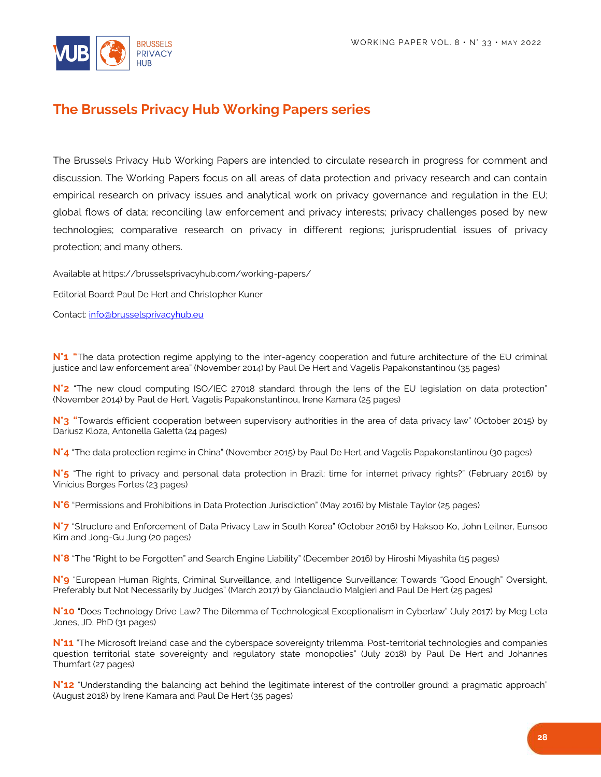

## **The Brussels Privacy Hub Working Papers series**

The Brussels Privacy Hub Working Papers are intended to circulate research in progress for comment and discussion. The Working Papers focus on all areas of data protection and privacy research and can contain empirical research on privacy issues and analytical work on privacy governance and regulation in the EU; global flows of data; reconciling law enforcement and privacy interests; privacy challenges posed by new technologies; comparative research on privacy in different regions; jurisprudential issues of privacy protection; and many others.

Available at https://brusselsprivacyhub.com/working-papers/

Editorial Board: Paul De Hert and Christopher Kuner

Contact[: info@brusselsprivacyhub.eu](mailto:info@brusselsprivacyhub.eu)

**N°1 "**The data protection regime applying to the inter-agency cooperation and future architecture of the EU criminal justice and law enforcement area" (November 2014) by Paul De Hert and Vagelis Papakonstantinou (35 pages)

**N°2** "The new cloud computing ISO/IEC 27018 standard through the lens of the EU legislation on data protection" (November 2014) by Paul de Hert, Vagelis Papakonstantinou, Irene Kamara (25 pages)

N°3 "Towards efficient cooperation between supervisory authorities in the area of data privacy law" (October 2015) by Dariusz Kloza, Antonella Galetta (24 pages)

**N°4** "The data protection regime in China" (November 2015) by Paul De Hert and Vagelis Papakonstantinou (30 pages)

**N°5** "The right to privacy and personal data protection in Brazil: time for internet privacy rights?" (February 2016) by Vinícius Borges Fortes (23 pages)

**N°6** "Permissions and Prohibitions in Data Protection Jurisdiction" (May 2016) by Mistale Taylor (25 pages)

**N°7** "Structure and Enforcement of Data Privacy Law in South Korea" (October 2016) by Haksoo Ko, John Leitner, Eunsoo Kim and Jong-Gu Jung (20 pages)

**N°8** "The "Right to be Forgotten" and Search Engine Liability" (December 2016) by Hiroshi Miyashita (15 pages)

**N°9** "European Human Rights, Criminal Surveillance, and Intelligence Surveillance: Towards "Good Enough" Oversight, Preferably but Not Necessarily by Judges" (March 2017) by Gianclaudio Malgieri and Paul De Hert (25 pages)

**N°10** "Does Technology Drive Law? The Dilemma of Technological Exceptionalism in Cyberlaw" (July 2017) by Meg Leta Jones, JD, PhD (31 pages)

N°11 "The Microsoft Ireland case and the cyberspace sovereignty trilemma. Post-territorial technologies and companies question territorial state sovereignty and regulatory state monopolies" (July 2018) by Paul De Hert and Johannes Thumfart (27 pages)

**N°12** "Understanding the balancing act behind the legitimate interest of the controller ground: a pragmatic approach" (August 2018) by Irene Kamara and Paul De Hert (35 pages)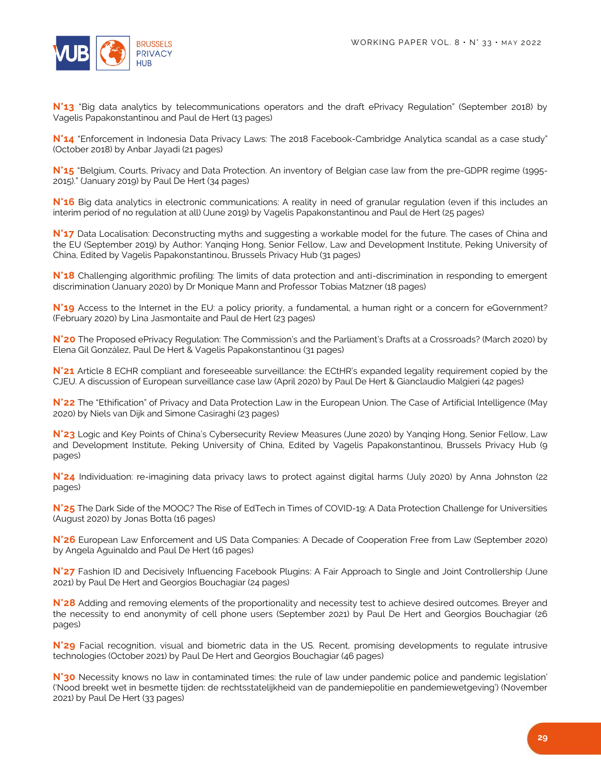

N°13<sup></sup> "Big data analytics by telecommunications operators and the draft ePrivacy Regulation" (September 2018) by Vagelis Papakonstantinou and Paul de Hert (13 pages)

**N°14** "Enforcement in Indonesia Data Privacy Laws: The 2018 Facebook-Cambridge Analytica scandal as a case study" (October 2018) by Anbar Jayadi (21 pages)

**N°15** "Belgium, Courts, Privacy and Data Protection. An inventory of Belgian case law from the pre-GDPR regime (1995- 2015)." (January 2019) by Paul De Hert (34 pages)

**N°16** Big data analytics in electronic communications: A reality in need of granular regulation (even if this includes an interim period of no regulation at all) (June 2019) by Vagelis Papakonstantinou and Paul de Hert (25 pages)

**N°17** Data Localisation: Deconstructing myths and suggesting a workable model for the future. The cases of China and the EU (September 2019) by Author: Yanqing Hong, Senior Fellow, Law and Development Institute, Peking University of China, Edited by Vagelis Papakonstantinou, Brussels Privacy Hub (31 pages)

**N°18** Challenging algorithmic profiling: The limits of data protection and anti-discrimination in responding to emergent discrimination (January 2020) by Dr Monique Mann and Professor Tobias Matzner (18 pages)

N°19 Access to the Internet in the EU: a policy priority, a fundamental, a human right or a concern for eGovernment? (February 2020) by Lina Jasmontaite and Paul de Hert (23 pages)

**N°20** The Proposed ePrivacy Regulation: The Commission's and the Parliament's Drafts at a Crossroads? (March 2020) by Elena Gil González, Paul De Hert & Vagelis Papakonstantinou (31 pages)

**N°21** Article 8 ECHR compliant and foreseeable surveillance: the ECtHR's expanded legality requirement copied by the CJEU. A discussion of European surveillance case law (April 2020) by Paul De Hert & Gianclaudio Malgieri (42 pages)

**N°22** The "Ethification" of Privacy and Data Protection Law in the European Union. The Case of Artificial Intelligence (May 2020) by Niels van Dijk and Simone Casiraghi (23 pages)

**N°23** Logic and Key Points of China's Cybersecurity Review Measures (June 2020) by Yanqing Hong, Senior Fellow, Law and Development Institute, Peking University of China, Edited by Vagelis Papakonstantinou, Brussels Privacy Hub (9 pages)

**N°24** Individuation: re-imagining data privacy laws to protect against digital harms (July 2020) by Anna Johnston (22 pages)

**N°25** The Dark Side of the MOOC? The Rise of EdTech in Times of COVID-19: A Data Protection Challenge for Universities (August 2020) by Jonas Botta (16 pages)

**N°26** European Law Enforcement and US Data Companies: A Decade of Cooperation Free from Law (September 2020) by Angela Aguinaldo and Paul De Hert (16 pages)

**N°27** Fashion ID and Decisively Influencing Facebook Plugins: A Fair Approach to Single and Joint Controllership (June 2021) by Paul De Hert and Georgios Bouchagiar (24 pages)

**N°28** Adding and removing elements of the proportionality and necessity test to achieve desired outcomes. Breyer and the necessity to end anonymity of cell phone users (September 2021) by Paul De Hert and Georgios Bouchagiar (26 pages)

**N°29** Facial recognition, visual and biometric data in the US. Recent, promising developments to regulate intrusive technologies (October 2021) by Paul De Hert and Georgios Bouchagiar (46 pages)

**N°30** Necessity knows no law in contaminated times: the rule of law under pandemic police and pandemic legislation' ('Nood breekt wet in besmette tijden: de rechtsstatelijkheid van de pandemiepolitie en pandemiewetgeving') (November 2021) by Paul De Hert (33 pages)